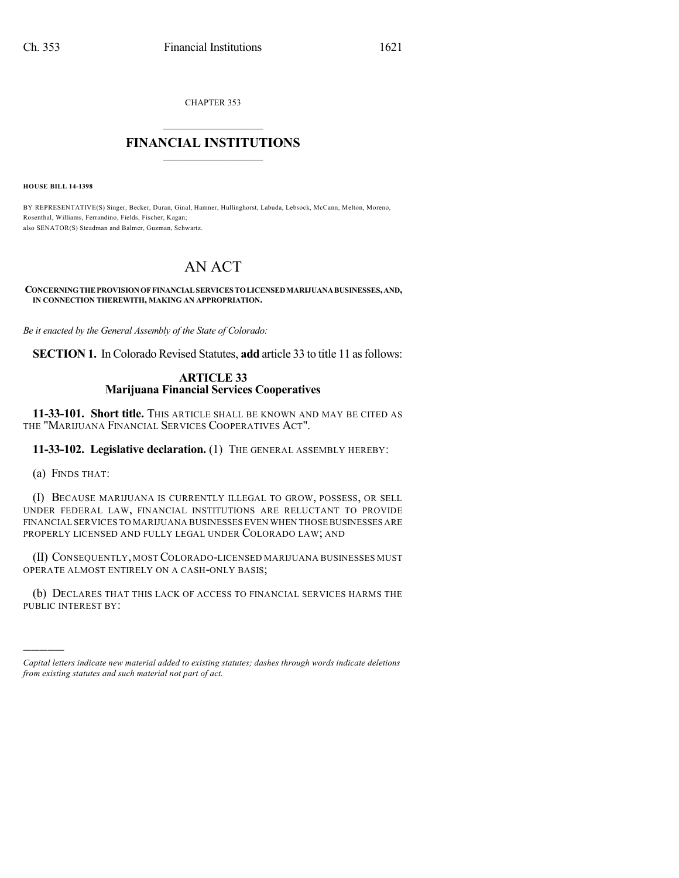CHAPTER 353

## $\overline{\phantom{a}}$  . The set of the set of the set of the set of the set of the set of the set of the set of the set of the set of the set of the set of the set of the set of the set of the set of the set of the set of the set o **FINANCIAL INSTITUTIONS**  $\frac{1}{2}$  ,  $\frac{1}{2}$  ,  $\frac{1}{2}$  ,  $\frac{1}{2}$  ,  $\frac{1}{2}$  ,  $\frac{1}{2}$  ,  $\frac{1}{2}$

**HOUSE BILL 14-1398**

BY REPRESENTATIVE(S) Singer, Becker, Duran, Ginal, Hamner, Hullinghorst, Labuda, Lebsock, McCann, Melton, Moreno, Rosenthal, Williams, Ferrandino, Fields, Fischer, Kagan; also SENATOR(S) Steadman and Balmer, Guzman, Schwartz.

# AN ACT

**CONCERNINGTHEPROVISIONOFFINANCIALSERVICES TOLICENSEDMARIJUANABUSINESSES,AND, IN CONNECTION THEREWITH, MAKING AN APPROPRIATION.**

*Be it enacted by the General Assembly of the State of Colorado:*

**SECTION 1.** In Colorado Revised Statutes, **add** article 33 to title 11 asfollows:

#### **ARTICLE 33 Marijuana Financial Services Cooperatives**

**11-33-101. Short title.** THIS ARTICLE SHALL BE KNOWN AND MAY BE CITED AS THE "MARIJUANA FINANCIAL SERVICES COOPERATIVES ACT".

**11-33-102. Legislative declaration.** (1) THE GENERAL ASSEMBLY HEREBY:

(a) FINDS THAT:

)))))

(I) BECAUSE MARIJUANA IS CURRENTLY ILLEGAL TO GROW, POSSESS, OR SELL UNDER FEDERAL LAW, FINANCIAL INSTITUTIONS ARE RELUCTANT TO PROVIDE FINANCIAL SERVICES TO MARIJUANA BUSINESSES EVEN WHEN THOSE BUSINESSES ARE PROPERLY LICENSED AND FULLY LEGAL UNDER COLORADO LAW; AND

(II) CONSEQUENTLY, MOSTCOLORADO-LICENSED MARIJUANA BUSINESSES MUST OPERATE ALMOST ENTIRELY ON A CASH-ONLY BASIS;

(b) DECLARES THAT THIS LACK OF ACCESS TO FINANCIAL SERVICES HARMS THE PUBLIC INTEREST BY:

*Capital letters indicate new material added to existing statutes; dashes through words indicate deletions from existing statutes and such material not part of act.*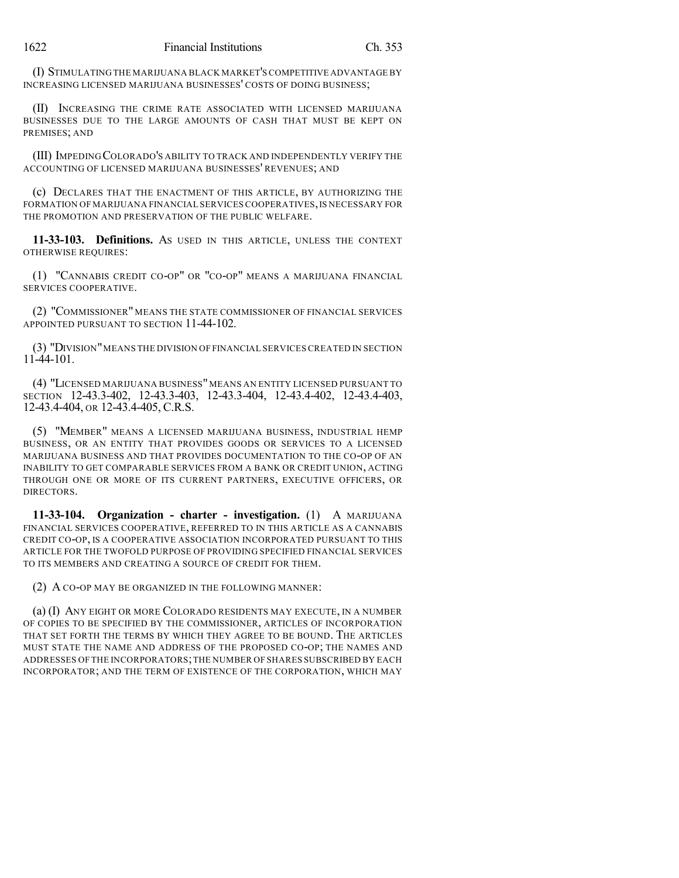(I) STIMULATING THE MARIJUANA BLACK MARKET'S COMPETITIVE ADVANTAGE BY INCREASING LICENSED MARIJUANA BUSINESSES' COSTS OF DOING BUSINESS;

(II) INCREASING THE CRIME RATE ASSOCIATED WITH LICENSED MARIJUANA BUSINESSES DUE TO THE LARGE AMOUNTS OF CASH THAT MUST BE KEPT ON PREMISES; AND

(III) IMPEDING COLORADO'S ABILITY TO TRACK AND INDEPENDENTLY VERIFY THE ACCOUNTING OF LICENSED MARIJUANA BUSINESSES' REVENUES; AND

(c) DECLARES THAT THE ENACTMENT OF THIS ARTICLE, BY AUTHORIZING THE FORMATION OF MARIJUANA FINANCIAL SERVICES COOPERATIVES, IS NECESSARY FOR THE PROMOTION AND PRESERVATION OF THE PUBLIC WELFARE.

**11-33-103. Definitions.** AS USED IN THIS ARTICLE, UNLESS THE CONTEXT OTHERWISE REQUIRES:

(1) "CANNABIS CREDIT CO-OP" OR "CO-OP" MEANS A MARIJUANA FINANCIAL SERVICES COOPERATIVE.

(2) "COMMISSIONER" MEANS THE STATE COMMISSIONER OF FINANCIAL SERVICES APPOINTED PURSUANT TO SECTION 11-44-102.

(3) "DIVISION"MEANS THE DIVISION OF FINANCIAL SERVICES CREATED IN SECTION 11-44-101.

(4) "LICENSED MARIJUANA BUSINESS"MEANS AN ENTITY LICENSED PURSUANT TO SECTION 12-43.3-402, 12-43.3-403, 12-43.3-404, 12-43.4-402, 12-43.4-403, 12-43.4-404, OR 12-43.4-405, C.R.S.

(5) "MEMBER" MEANS A LICENSED MARIJUANA BUSINESS, INDUSTRIAL HEMP BUSINESS, OR AN ENTITY THAT PROVIDES GOODS OR SERVICES TO A LICENSED MARIJUANA BUSINESS AND THAT PROVIDES DOCUMENTATION TO THE CO-OP OF AN INABILITY TO GET COMPARABLE SERVICES FROM A BANK OR CREDIT UNION, ACTING THROUGH ONE OR MORE OF ITS CURRENT PARTNERS, EXECUTIVE OFFICERS, OR DIRECTORS.

**11-33-104. Organization - charter - investigation.** (1) A MARIJUANA FINANCIAL SERVICES COOPERATIVE, REFERRED TO IN THIS ARTICLE AS A CANNABIS CREDIT CO-OP, IS A COOPERATIVE ASSOCIATION INCORPORATED PURSUANT TO THIS ARTICLE FOR THE TWOFOLD PURPOSE OF PROVIDING SPECIFIED FINANCIAL SERVICES TO ITS MEMBERS AND CREATING A SOURCE OF CREDIT FOR THEM.

(2) A CO-OP MAY BE ORGANIZED IN THE FOLLOWING MANNER:

(a) (I) ANY EIGHT OR MORE COLORADO RESIDENTS MAY EXECUTE, IN A NUMBER OF COPIES TO BE SPECIFIED BY THE COMMISSIONER, ARTICLES OF INCORPORATION THAT SET FORTH THE TERMS BY WHICH THEY AGREE TO BE BOUND. THE ARTICLES MUST STATE THE NAME AND ADDRESS OF THE PROPOSED CO-OP; THE NAMES AND ADDRESSES OF THE INCORPORATORS;THE NUMBER OF SHARES SUBSCRIBED BY EACH INCORPORATOR; AND THE TERM OF EXISTENCE OF THE CORPORATION, WHICH MAY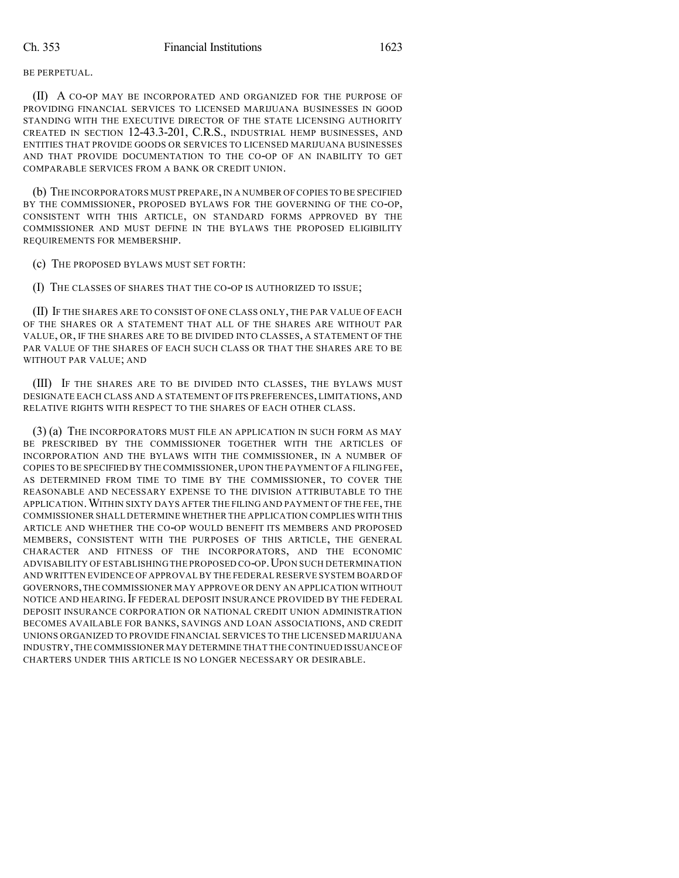#### BE PERPETUAL.

(II) A CO-OP MAY BE INCORPORATED AND ORGANIZED FOR THE PURPOSE OF PROVIDING FINANCIAL SERVICES TO LICENSED MARIJUANA BUSINESSES IN GOOD STANDING WITH THE EXECUTIVE DIRECTOR OF THE STATE LICENSING AUTHORITY CREATED IN SECTION 12-43.3-201, C.R.S., INDUSTRIAL HEMP BUSINESSES, AND ENTITIES THAT PROVIDE GOODS OR SERVICES TO LICENSED MARIJUANA BUSINESSES AND THAT PROVIDE DOCUMENTATION TO THE CO-OP OF AN INABILITY TO GET COMPARABLE SERVICES FROM A BANK OR CREDIT UNION.

(b) THE INCORPORATORS MUST PREPARE,IN A NUMBER OF COPIES TO BE SPECIFIED BY THE COMMISSIONER, PROPOSED BYLAWS FOR THE GOVERNING OF THE CO-OP, CONSISTENT WITH THIS ARTICLE, ON STANDARD FORMS APPROVED BY THE COMMISSIONER AND MUST DEFINE IN THE BYLAWS THE PROPOSED ELIGIBILITY REQUIREMENTS FOR MEMBERSHIP.

(c) THE PROPOSED BYLAWS MUST SET FORTH:

(I) THE CLASSES OF SHARES THAT THE CO-OP IS AUTHORIZED TO ISSUE;

(II) IF THE SHARES ARE TO CONSIST OF ONE CLASS ONLY, THE PAR VALUE OF EACH OF THE SHARES OR A STATEMENT THAT ALL OF THE SHARES ARE WITHOUT PAR VALUE, OR, IF THE SHARES ARE TO BE DIVIDED INTO CLASSES, A STATEMENT OF THE PAR VALUE OF THE SHARES OF EACH SUCH CLASS OR THAT THE SHARES ARE TO BE WITHOUT PAR VALUE; AND

(III) IF THE SHARES ARE TO BE DIVIDED INTO CLASSES, THE BYLAWS MUST DESIGNATE EACH CLASS AND A STATEMENT OF ITS PREFERENCES, LIMITATIONS, AND RELATIVE RIGHTS WITH RESPECT TO THE SHARES OF EACH OTHER CLASS.

(3) (a) THE INCORPORATORS MUST FILE AN APPLICATION IN SUCH FORM AS MAY BE PRESCRIBED BY THE COMMISSIONER TOGETHER WITH THE ARTICLES OF INCORPORATION AND THE BYLAWS WITH THE COMMISSIONER, IN A NUMBER OF COPIES TO BE SPECIFIED BY THE COMMISSIONER,UPON THE PAYMENT OF A FILING FEE, AS DETERMINED FROM TIME TO TIME BY THE COMMISSIONER, TO COVER THE REASONABLE AND NECESSARY EXPENSE TO THE DIVISION ATTRIBUTABLE TO THE APPLICATION.WITHIN SIXTY DAYS AFTER THE FILING AND PAYMENT OFTHE FEE, THE COMMISSIONER SHALL DETERMINE WHETHER THE APPLICATION COMPLIES WITH THIS ARTICLE AND WHETHER THE CO-OP WOULD BENEFIT ITS MEMBERS AND PROPOSED MEMBERS, CONSISTENT WITH THE PURPOSES OF THIS ARTICLE, THE GENERAL CHARACTER AND FITNESS OF THE INCORPORATORS, AND THE ECONOMIC ADVISABILITY OF ESTABLISHING THE PROPOSED CO-OP.UPON SUCH DETERMINATION AND WRITTEN EVIDENCE OF APPROVAL BY THE FEDERAL RESERVE SYSTEM BOARD OF GOVERNORS,THE COMMISSIONER MAY APPROVE OR DENY AN APPLICATION WITHOUT NOTICE AND HEARING. IF FEDERAL DEPOSIT INSURANCE PROVIDED BY THE FEDERAL DEPOSIT INSURANCE CORPORATION OR NATIONAL CREDIT UNION ADMINISTRATION BECOMES AVAILABLE FOR BANKS, SAVINGS AND LOAN ASSOCIATIONS, AND CREDIT UNIONS ORGANIZED TO PROVIDE FINANCIAL SERVICES TO THE LICENSED MARIJUANA INDUSTRY,THE COMMISSIONER MAY DETERMINE THAT THE CONTINUED ISSUANCE OF CHARTERS UNDER THIS ARTICLE IS NO LONGER NECESSARY OR DESIRABLE.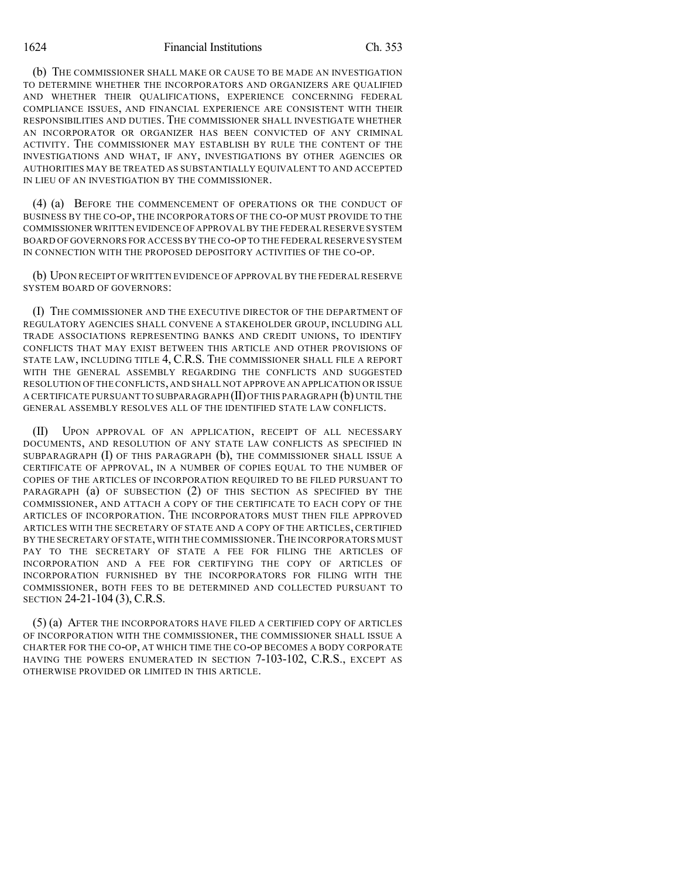1624 Financial Institutions Ch. 353

(b) THE COMMISSIONER SHALL MAKE OR CAUSE TO BE MADE AN INVESTIGATION TO DETERMINE WHETHER THE INCORPORATORS AND ORGANIZERS ARE QUALIFIED AND WHETHER THEIR QUALIFICATIONS, EXPERIENCE CONCERNING FEDERAL COMPLIANCE ISSUES, AND FINANCIAL EXPERIENCE ARE CONSISTENT WITH THEIR RESPONSIBILITIES AND DUTIES. THE COMMISSIONER SHALL INVESTIGATE WHETHER AN INCORPORATOR OR ORGANIZER HAS BEEN CONVICTED OF ANY CRIMINAL ACTIVITY. THE COMMISSIONER MAY ESTABLISH BY RULE THE CONTENT OF THE INVESTIGATIONS AND WHAT, IF ANY, INVESTIGATIONS BY OTHER AGENCIES OR AUTHORITIES MAY BE TREATED AS SUBSTANTIALLY EQUIVALENT TO AND ACCEPTED IN LIEU OF AN INVESTIGATION BY THE COMMISSIONER.

(4) (a) BEFORE THE COMMENCEMENT OF OPERATIONS OR THE CONDUCT OF BUSINESS BY THE CO-OP, THE INCORPORATORS OF THE CO-OP MUST PROVIDE TO THE COMMISSIONER WRITTEN EVIDENCE OF APPROVALBY THE FEDERAL RESERVE SYSTEM BOARD OF GOVERNORS FOR ACCESS BY THE CO-OP TO THE FEDERALRESERVE SYSTEM IN CONNECTION WITH THE PROPOSED DEPOSITORY ACTIVITIES OF THE CO-OP.

(b) UPON RECEIPT OF WRITTEN EVIDENCE OF APPROVAL BY THE FEDERAL RESERVE SYSTEM BOARD OF GOVERNORS:

(I) THE COMMISSIONER AND THE EXECUTIVE DIRECTOR OF THE DEPARTMENT OF REGULATORY AGENCIES SHALL CONVENE A STAKEHOLDER GROUP, INCLUDING ALL TRADE ASSOCIATIONS REPRESENTING BANKS AND CREDIT UNIONS, TO IDENTIFY CONFLICTS THAT MAY EXIST BETWEEN THIS ARTICLE AND OTHER PROVISIONS OF STATE LAW, INCLUDING TITLE 4, C.R.S. THE COMMISSIONER SHALL FILE A REPORT WITH THE GENERAL ASSEMBLY REGARDING THE CONFLICTS AND SUGGESTED RESOLUTION OF THE CONFLICTS,AND SHALL NOT APPROVE AN APPLICATION OR ISSUE A CERTIFICATE PURSUANT TO SUBPARAGRAPH  $(II)$  OF THIS PARAGRAPH  $(b)$  UNTIL THE GENERAL ASSEMBLY RESOLVES ALL OF THE IDENTIFIED STATE LAW CONFLICTS.

(II) UPON APPROVAL OF AN APPLICATION, RECEIPT OF ALL NECESSARY DOCUMENTS, AND RESOLUTION OF ANY STATE LAW CONFLICTS AS SPECIFIED IN SUBPARAGRAPH (I) OF THIS PARAGRAPH (b), THE COMMISSIONER SHALL ISSUE A CERTIFICATE OF APPROVAL, IN A NUMBER OF COPIES EQUAL TO THE NUMBER OF COPIES OF THE ARTICLES OF INCORPORATION REQUIRED TO BE FILED PURSUANT TO PARAGRAPH (a) OF SUBSECTION (2) OF THIS SECTION AS SPECIFIED BY THE COMMISSIONER, AND ATTACH A COPY OF THE CERTIFICATE TO EACH COPY OF THE ARTICLES OF INCORPORATION. THE INCORPORATORS MUST THEN FILE APPROVED ARTICLES WITH THE SECRETARY OF STATE AND A COPY OF THE ARTICLES, CERTIFIED BY THE SECRETARY OFSTATE,WITH THE COMMISSIONER.THE INCORPORATORS MUST PAY TO THE SECRETARY OF STATE A FEE FOR FILING THE ARTICLES OF INCORPORATION AND A FEE FOR CERTIFYING THE COPY OF ARTICLES OF INCORPORATION FURNISHED BY THE INCORPORATORS FOR FILING WITH THE COMMISSIONER, BOTH FEES TO BE DETERMINED AND COLLECTED PURSUANT TO SECTION 24-21-104 (3), C.R.S.

(5) (a) AFTER THE INCORPORATORS HAVE FILED A CERTIFIED COPY OF ARTICLES OF INCORPORATION WITH THE COMMISSIONER, THE COMMISSIONER SHALL ISSUE A CHARTER FOR THE CO-OP, AT WHICH TIME THE CO-OP BECOMES A BODY CORPORATE HAVING THE POWERS ENUMERATED IN SECTION 7-103-102, C.R.S., EXCEPT AS OTHERWISE PROVIDED OR LIMITED IN THIS ARTICLE.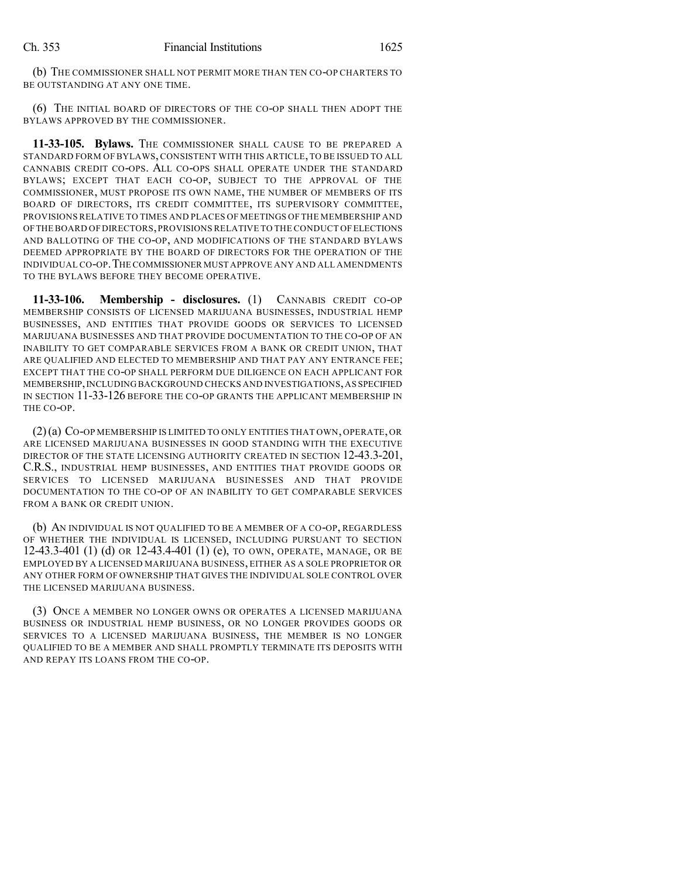(b) THE COMMISSIONER SHALL NOT PERMIT MORE THAN TEN CO-OP CHARTERS TO BE OUTSTANDING AT ANY ONE TIME.

(6) THE INITIAL BOARD OF DIRECTORS OF THE CO-OP SHALL THEN ADOPT THE BYLAWS APPROVED BY THE COMMISSIONER.

**11-33-105. Bylaws.** THE COMMISSIONER SHALL CAUSE TO BE PREPARED A STANDARD FORM OF BYLAWS, CONSISTENT WITH THIS ARTICLE,TO BE ISSUED TO ALL CANNABIS CREDIT CO-OPS. ALL CO-OPS SHALL OPERATE UNDER THE STANDARD BYLAWS; EXCEPT THAT EACH CO-OP, SUBJECT TO THE APPROVAL OF THE COMMISSIONER, MUST PROPOSE ITS OWN NAME, THE NUMBER OF MEMBERS OF ITS BOARD OF DIRECTORS, ITS CREDIT COMMITTEE, ITS SUPERVISORY COMMITTEE, PROVISIONS RELATIVE TO TIMES AND PLACES OF MEETINGS OFTHE MEMBERSHIP AND OFTHE BOARD OFDIRECTORS,PROVISIONS RELATIVE TO THE CONDUCT OF ELECTIONS AND BALLOTING OF THE CO-OP, AND MODIFICATIONS OF THE STANDARD BYLAWS DEEMED APPROPRIATE BY THE BOARD OF DIRECTORS FOR THE OPERATION OF THE INDIVIDUAL CO-OP.THE COMMISSIONER MUST APPROVE ANY AND ALL AMENDMENTS TO THE BYLAWS BEFORE THEY BECOME OPERATIVE.

**11-33-106. Membership - disclosures.** (1) CANNABIS CREDIT CO-OP MEMBERSHIP CONSISTS OF LICENSED MARIJUANA BUSINESSES, INDUSTRIAL HEMP BUSINESSES, AND ENTITIES THAT PROVIDE GOODS OR SERVICES TO LICENSED MARIJUANA BUSINESSES AND THAT PROVIDE DOCUMENTATION TO THE CO-OP OF AN INABILITY TO GET COMPARABLE SERVICES FROM A BANK OR CREDIT UNION, THAT ARE QUALIFIED AND ELECTED TO MEMBERSHIP AND THAT PAY ANY ENTRANCE FEE; EXCEPT THAT THE CO-OP SHALL PERFORM DUE DILIGENCE ON EACH APPLICANT FOR MEMBERSHIP,INCLUDING BACKGROUND CHECKS AND INVESTIGATIONS,AS SPECIFIED IN SECTION 11-33-126 BEFORE THE CO-OP GRANTS THE APPLICANT MEMBERSHIP IN THE CO-OP.

(2)(a) CO-OP MEMBERSHIP IS LIMITED TO ONLY ENTITIES THAT OWN, OPERATE, OR ARE LICENSED MARIJUANA BUSINESSES IN GOOD STANDING WITH THE EXECUTIVE DIRECTOR OF THE STATE LICENSING AUTHORITY CREATED IN SECTION 12-43.3-201, C.R.S., INDUSTRIAL HEMP BUSINESSES, AND ENTITIES THAT PROVIDE GOODS OR SERVICES TO LICENSED MARIJUANA BUSINESSES AND THAT PROVIDE DOCUMENTATION TO THE CO-OP OF AN INABILITY TO GET COMPARABLE SERVICES FROM A BANK OR CREDIT UNION.

(b) AN INDIVIDUAL IS NOT QUALIFIED TO BE A MEMBER OF A CO-OP, REGARDLESS OF WHETHER THE INDIVIDUAL IS LICENSED, INCLUDING PURSUANT TO SECTION 12-43.3-401 (1) (d) OR 12-43.4-401 (1) (e), TO OWN, OPERATE, MANAGE, OR BE EMPLOYED BY A LICENSED MARIJUANA BUSINESS, EITHER AS A SOLE PROPRIETOR OR ANY OTHER FORM OF OWNERSHIP THAT GIVES THE INDIVIDUAL SOLE CONTROL OVER THE LICENSED MARIJUANA BUSINESS.

(3) ONCE A MEMBER NO LONGER OWNS OR OPERATES A LICENSED MARIJUANA BUSINESS OR INDUSTRIAL HEMP BUSINESS, OR NO LONGER PROVIDES GOODS OR SERVICES TO A LICENSED MARIJUANA BUSINESS, THE MEMBER IS NO LONGER QUALIFIED TO BE A MEMBER AND SHALL PROMPTLY TERMINATE ITS DEPOSITS WITH AND REPAY ITS LOANS FROM THE CO-OP.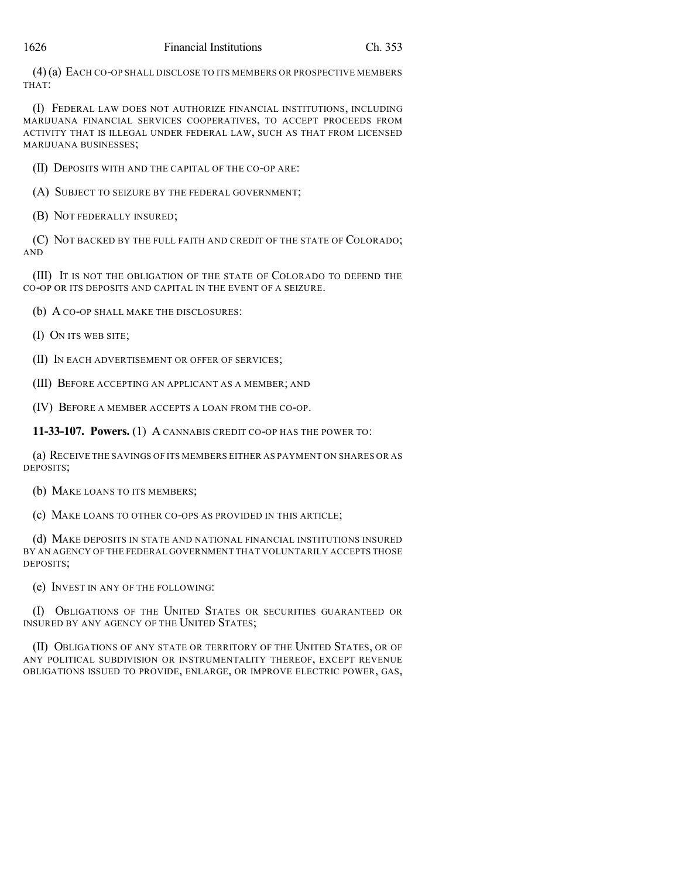(4)(a) EACH CO-OP SHALL DISCLOSE TO ITS MEMBERS OR PROSPECTIVE MEMBERS THAT:

(I) FEDERAL LAW DOES NOT AUTHORIZE FINANCIAL INSTITUTIONS, INCLUDING MARIJUANA FINANCIAL SERVICES COOPERATIVES, TO ACCEPT PROCEEDS FROM ACTIVITY THAT IS ILLEGAL UNDER FEDERAL LAW, SUCH AS THAT FROM LICENSED MARIJUANA BUSINESSES;

(II) DEPOSITS WITH AND THE CAPITAL OF THE CO-OP ARE:

(A) SUBJECT TO SEIZURE BY THE FEDERAL GOVERNMENT;

(B) NOT FEDERALLY INSURED;

(C) NOT BACKED BY THE FULL FAITH AND CREDIT OF THE STATE OF COLORADO; AND

(III) IT IS NOT THE OBLIGATION OF THE STATE OF COLORADO TO DEFEND THE CO-OP OR ITS DEPOSITS AND CAPITAL IN THE EVENT OF A SEIZURE.

(b) A CO-OP SHALL MAKE THE DISCLOSURES:

(I) ON ITS WEB SITE;

(II) IN EACH ADVERTISEMENT OR OFFER OF SERVICES;

(III) BEFORE ACCEPTING AN APPLICANT AS A MEMBER; AND

(IV) BEFORE A MEMBER ACCEPTS A LOAN FROM THE CO-OP.

**11-33-107. Powers.** (1) A CANNABIS CREDIT CO-OP HAS THE POWER TO:

(a) RECEIVE THE SAVINGS OF ITS MEMBERS EITHER AS PAYMENT ON SHARES OR AS DEPOSITS;

(b) MAKE LOANS TO ITS MEMBERS;

(c) MAKE LOANS TO OTHER CO-OPS AS PROVIDED IN THIS ARTICLE;

(d) MAKE DEPOSITS IN STATE AND NATIONAL FINANCIAL INSTITUTIONS INSURED BY AN AGENCY OF THE FEDERAL GOVERNMENT THAT VOLUNTARILY ACCEPTS THOSE DEPOSITS;

(e) INVEST IN ANY OF THE FOLLOWING:

(I) OBLIGATIONS OF THE UNITED STATES OR SECURITIES GUARANTEED OR INSURED BY ANY AGENCY OF THE UNITED STATES;

(II) OBLIGATIONS OF ANY STATE OR TERRITORY OF THE UNITED STATES, OR OF ANY POLITICAL SUBDIVISION OR INSTRUMENTALITY THEREOF, EXCEPT REVENUE OBLIGATIONS ISSUED TO PROVIDE, ENLARGE, OR IMPROVE ELECTRIC POWER, GAS,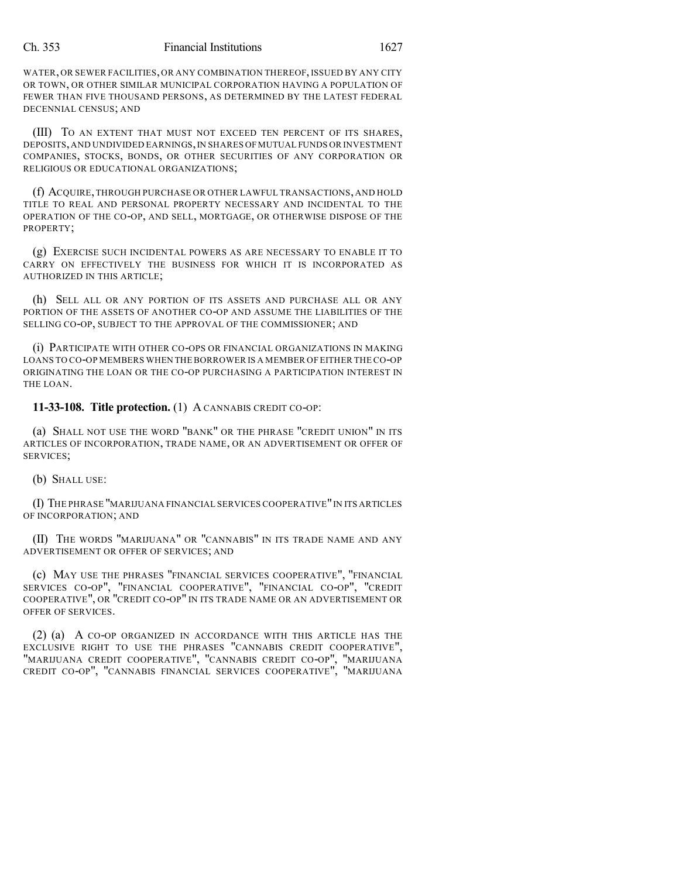WATER, OR SEWER FACILITIES, OR ANY COMBINATION THEREOF, ISSUED BY ANY CITY OR TOWN, OR OTHER SIMILAR MUNICIPAL CORPORATION HAVING A POPULATION OF FEWER THAN FIVE THOUSAND PERSONS, AS DETERMINED BY THE LATEST FEDERAL DECENNIAL CENSUS; AND

(III) TO AN EXTENT THAT MUST NOT EXCEED TEN PERCENT OF ITS SHARES, DEPOSITS,AND UNDIVIDED EARNINGS,IN SHARES OFMUTUAL FUNDS OR INVESTMENT COMPANIES, STOCKS, BONDS, OR OTHER SECURITIES OF ANY CORPORATION OR RELIGIOUS OR EDUCATIONAL ORGANIZATIONS;

(f) ACQUIRE,THROUGH PURCHASE OR OTHER LAWFUL TRANSACTIONS, AND HOLD TITLE TO REAL AND PERSONAL PROPERTY NECESSARY AND INCIDENTAL TO THE OPERATION OF THE CO-OP, AND SELL, MORTGAGE, OR OTHERWISE DISPOSE OF THE PROPERTY;

(g) EXERCISE SUCH INCIDENTAL POWERS AS ARE NECESSARY TO ENABLE IT TO CARRY ON EFFECTIVELY THE BUSINESS FOR WHICH IT IS INCORPORATED AS AUTHORIZED IN THIS ARTICLE;

(h) SELL ALL OR ANY PORTION OF ITS ASSETS AND PURCHASE ALL OR ANY PORTION OF THE ASSETS OF ANOTHER CO-OP AND ASSUME THE LIABILITIES OF THE SELLING CO-OP, SUBJECT TO THE APPROVAL OF THE COMMISSIONER; AND

(i) PARTICIPATE WITH OTHER CO-OPS OR FINANCIAL ORGANIZATIONS IN MAKING LOANS TO CO-OP MEMBERS WHEN THE BORROWER IS A MEMBER OF EITHER THE CO-OP ORIGINATING THE LOAN OR THE CO-OP PURCHASING A PARTICIPATION INTEREST IN THE LOAN.

**11-33-108. Title protection.** (1) A CANNABIS CREDIT CO-OP:

(a) SHALL NOT USE THE WORD "BANK" OR THE PHRASE "CREDIT UNION" IN ITS ARTICLES OF INCORPORATION, TRADE NAME, OR AN ADVERTISEMENT OR OFFER OF SERVICES;

(b) SHALL USE:

(I) THE PHRASE "MARIJUANA FINANCIAL SERVICES COOPERATIVE"IN ITS ARTICLES OF INCORPORATION; AND

(II) THE WORDS "MARIJUANA" OR "CANNABIS" IN ITS TRADE NAME AND ANY ADVERTISEMENT OR OFFER OF SERVICES; AND

(c) MAY USE THE PHRASES "FINANCIAL SERVICES COOPERATIVE", "FINANCIAL SERVICES CO-OP", "FINANCIAL COOPERATIVE", "FINANCIAL CO-OP", "CREDIT COOPERATIVE", OR "CREDIT CO-OP" IN ITS TRADE NAME OR AN ADVERTISEMENT OR OFFER OF SERVICES.

(2) (a) A CO-OP ORGANIZED IN ACCORDANCE WITH THIS ARTICLE HAS THE EXCLUSIVE RIGHT TO USE THE PHRASES "CANNABIS CREDIT COOPERATIVE", "MARIJUANA CREDIT COOPERATIVE", "CANNABIS CREDIT CO-OP", "MARIJUANA CREDIT CO-OP", "CANNABIS FINANCIAL SERVICES COOPERATIVE", "MARIJUANA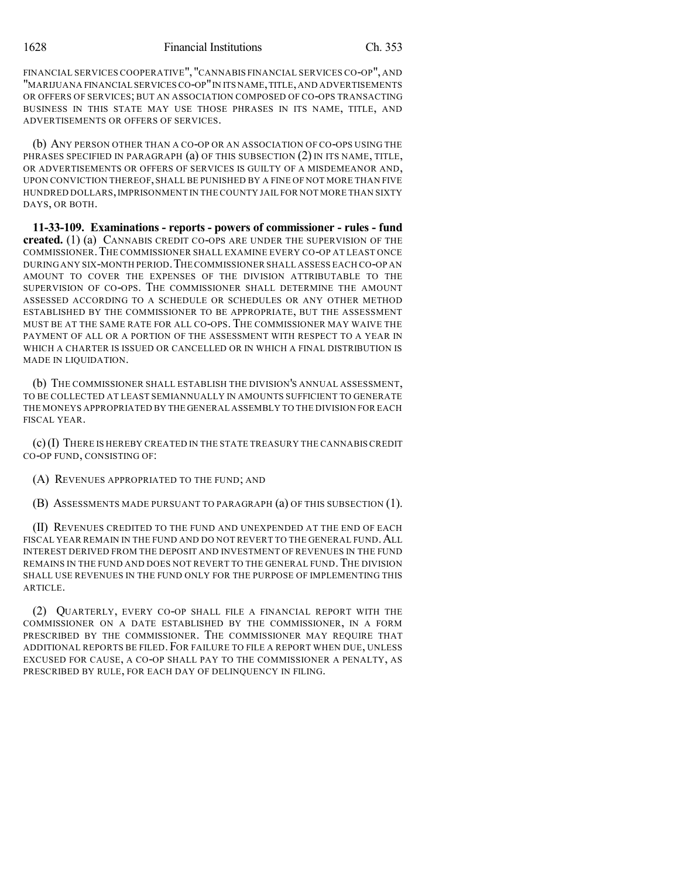FINANCIAL SERVICES COOPERATIVE", "CANNABIS FINANCIAL SERVICES CO-OP", AND "MARIJUANA FINANCIAL SERVICESCO-OP"IN ITS NAME,TITLE,AND ADVERTISEMENTS OR OFFERS OF SERVICES; BUT AN ASSOCIATION COMPOSED OF CO-OPS TRANSACTING BUSINESS IN THIS STATE MAY USE THOSE PHRASES IN ITS NAME, TITLE, AND ADVERTISEMENTS OR OFFERS OF SERVICES.

(b) ANY PERSON OTHER THAN A CO-OP OR AN ASSOCIATION OF CO-OPS USING THE PHRASES SPECIFIED IN PARAGRAPH (a) OF THIS SUBSECTION (2) IN ITS NAME, TITLE, OR ADVERTISEMENTS OR OFFERS OF SERVICES IS GUILTY OF A MISDEMEANOR AND, UPON CONVICTION THEREOF, SHALL BE PUNISHED BY A FINE OF NOT MORE THAN FIVE HUNDRED DOLLARS,IMPRISONMENT IN THE COUNTY JAIL FOR NOT MORE THAN SIXTY DAYS, OR BOTH.

**11-33-109. Examinations - reports - powers of commissioner - rules - fund created.** (1) (a) CANNABIS CREDIT CO-OPS ARE UNDER THE SUPERVISION OF THE COMMISSIONER.THE COMMISSIONER SHALL EXAMINE EVERY CO-OP AT LEAST ONCE DURING ANY SIX-MONTH PERIOD.THECOMMISSIONER SHALL ASSESS EACH CO-OP AN AMOUNT TO COVER THE EXPENSES OF THE DIVISION ATTRIBUTABLE TO THE SUPERVISION OF CO-OPS. THE COMMISSIONER SHALL DETERMINE THE AMOUNT ASSESSED ACCORDING TO A SCHEDULE OR SCHEDULES OR ANY OTHER METHOD ESTABLISHED BY THE COMMISSIONER TO BE APPROPRIATE, BUT THE ASSESSMENT MUST BE AT THE SAME RATE FOR ALL CO-OPS. THE COMMISSIONER MAY WAIVE THE PAYMENT OF ALL OR A PORTION OF THE ASSESSMENT WITH RESPECT TO A YEAR IN WHICH A CHARTER IS ISSUED OR CANCELLED OR IN WHICH A FINAL DISTRIBUTION IS MADE IN LIQUIDATION.

(b) THE COMMISSIONER SHALL ESTABLISH THE DIVISION'S ANNUAL ASSESSMENT, TO BE COLLECTED AT LEAST SEMIANNUALLY IN AMOUNTS SUFFICIENT TO GENERATE THE MONEYS APPROPRIATED BY THE GENERAL ASSEMBLY TO THE DIVISION FOR EACH FISCAL YEAR.

(c)(I) THERE IS HEREBY CREATED IN THE STATE TREASURY THE CANNABIS CREDIT CO-OP FUND, CONSISTING OF:

(A) REVENUES APPROPRIATED TO THE FUND; AND

(B) ASSESSMENTS MADE PURSUANT TO PARAGRAPH (a) OF THIS SUBSECTION (1).

(II) REVENUES CREDITED TO THE FUND AND UNEXPENDED AT THE END OF EACH FISCAL YEAR REMAIN IN THE FUND AND DO NOT REVERT TO THE GENERAL FUND.ALL INTEREST DERIVED FROM THE DEPOSIT AND INVESTMENT OF REVENUES IN THE FUND REMAINS IN THE FUND AND DOES NOT REVERT TO THE GENERAL FUND. THE DIVISION SHALL USE REVENUES IN THE FUND ONLY FOR THE PURPOSE OF IMPLEMENTING THIS ARTICLE.

(2) QUARTERLY, EVERY CO-OP SHALL FILE A FINANCIAL REPORT WITH THE COMMISSIONER ON A DATE ESTABLISHED BY THE COMMISSIONER, IN A FORM PRESCRIBED BY THE COMMISSIONER. THE COMMISSIONER MAY REQUIRE THAT ADDITIONAL REPORTS BE FILED. FOR FAILURE TO FILE A REPORT WHEN DUE, UNLESS EXCUSED FOR CAUSE, A CO-OP SHALL PAY TO THE COMMISSIONER A PENALTY, AS PRESCRIBED BY RULE, FOR EACH DAY OF DELINQUENCY IN FILING.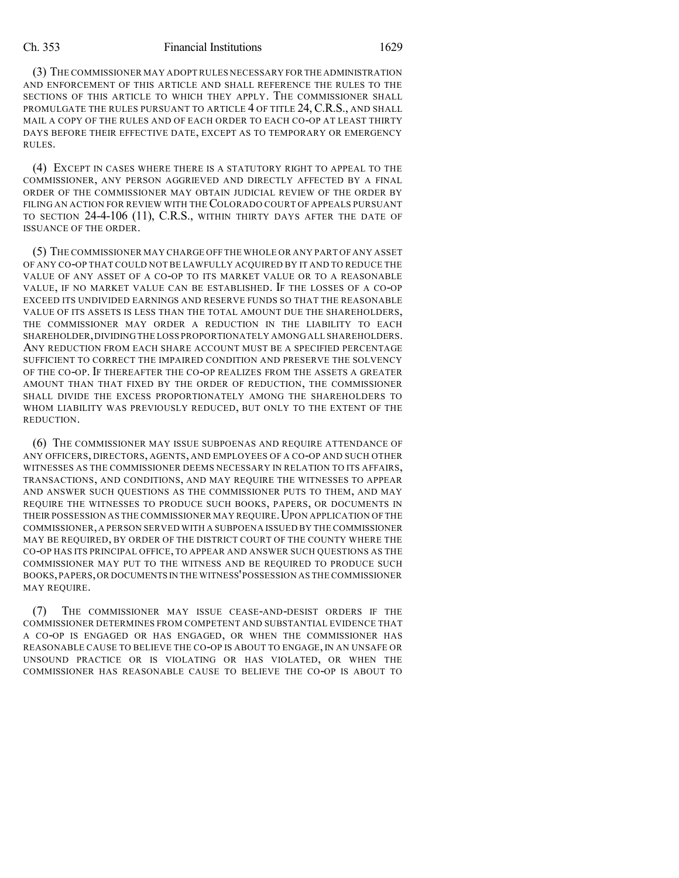(3) THE COMMISSIONER MAY ADOPT RULES NECESSARY FOR THE ADMINISTRATION AND ENFORCEMENT OF THIS ARTICLE AND SHALL REFERENCE THE RULES TO THE SECTIONS OF THIS ARTICLE TO WHICH THEY APPLY. THE COMMISSIONER SHALL PROMULGATE THE RULES PURSUANT TO ARTICLE 4 OF TITLE 24, C.R.S., AND SHALL MAIL A COPY OF THE RULES AND OF EACH ORDER TO EACH CO-OP AT LEAST THIRTY DAYS BEFORE THEIR EFFECTIVE DATE, EXCEPT AS TO TEMPORARY OR EMERGENCY RULES.

(4) EXCEPT IN CASES WHERE THERE IS A STATUTORY RIGHT TO APPEAL TO THE COMMISSIONER, ANY PERSON AGGRIEVED AND DIRECTLY AFFECTED BY A FINAL ORDER OF THE COMMISSIONER MAY OBTAIN JUDICIAL REVIEW OF THE ORDER BY FILING AN ACTION FOR REVIEW WITH THE COLORADO COURT OF APPEALS PURSUANT TO SECTION 24-4-106 (11), C.R.S., WITHIN THIRTY DAYS AFTER THE DATE OF ISSUANCE OF THE ORDER.

(5) THE COMMISSIONER MAY CHARGE OFF THE WHOLE OR ANY PART OF ANY ASSET OF ANY CO-OP THAT COULD NOT BE LAWFULLY ACQUIRED BY IT AND TO REDUCE THE VALUE OF ANY ASSET OF A CO-OP TO ITS MARKET VALUE OR TO A REASONABLE VALUE, IF NO MARKET VALUE CAN BE ESTABLISHED. IF THE LOSSES OF A CO-OP EXCEED ITS UNDIVIDED EARNINGS AND RESERVE FUNDS SO THAT THE REASONABLE VALUE OF ITS ASSETS IS LESS THAN THE TOTAL AMOUNT DUE THE SHAREHOLDERS, THE COMMISSIONER MAY ORDER A REDUCTION IN THE LIABILITY TO EACH SHAREHOLDER,DIVIDING THE LOSS PROPORTIONATELY AMONG ALL SHAREHOLDERS. ANY REDUCTION FROM EACH SHARE ACCOUNT MUST BE A SPECIFIED PERCENTAGE SUFFICIENT TO CORRECT THE IMPAIRED CONDITION AND PRESERVE THE SOLVENCY OF THE CO-OP. IF THEREAFTER THE CO-OP REALIZES FROM THE ASSETS A GREATER AMOUNT THAN THAT FIXED BY THE ORDER OF REDUCTION, THE COMMISSIONER SHALL DIVIDE THE EXCESS PROPORTIONATELY AMONG THE SHAREHOLDERS TO WHOM LIABILITY WAS PREVIOUSLY REDUCED, BUT ONLY TO THE EXTENT OF THE REDUCTION.

(6) THE COMMISSIONER MAY ISSUE SUBPOENAS AND REQUIRE ATTENDANCE OF ANY OFFICERS, DIRECTORS, AGENTS, AND EMPLOYEES OF A CO-OP AND SUCH OTHER WITNESSES AS THE COMMISSIONER DEEMS NECESSARY IN RELATION TO ITS AFFAIRS, TRANSACTIONS, AND CONDITIONS, AND MAY REQUIRE THE WITNESSES TO APPEAR AND ANSWER SUCH QUESTIONS AS THE COMMISSIONER PUTS TO THEM, AND MAY REQUIRE THE WITNESSES TO PRODUCE SUCH BOOKS, PAPERS, OR DOCUMENTS IN THEIR POSSESSION AS THE COMMISSIONER MAY REQUIRE. UPON APPLICATION OF THE COMMISSIONER,A PERSON SERVED WITH A SUBPOENA ISSUED BY THE COMMISSIONER MAY BE REQUIRED, BY ORDER OF THE DISTRICT COURT OF THE COUNTY WHERE THE CO-OP HAS ITS PRINCIPAL OFFICE, TO APPEAR AND ANSWER SUCH QUESTIONS AS THE COMMISSIONER MAY PUT TO THE WITNESS AND BE REQUIRED TO PRODUCE SUCH BOOKS,PAPERS,OR DOCUMENTS IN THE WITNESS'POSSESSION AS THE COMMISSIONER MAY REQUIRE.

(7) THE COMMISSIONER MAY ISSUE CEASE-AND-DESIST ORDERS IF THE COMMISSIONER DETERMINES FROM COMPETENT AND SUBSTANTIAL EVIDENCE THAT A CO-OP IS ENGAGED OR HAS ENGAGED, OR WHEN THE COMMISSIONER HAS REASONABLE CAUSE TO BELIEVE THE CO-OP IS ABOUT TO ENGAGE, IN AN UNSAFE OR UNSOUND PRACTICE OR IS VIOLATING OR HAS VIOLATED, OR WHEN THE COMMISSIONER HAS REASONABLE CAUSE TO BELIEVE THE CO-OP IS ABOUT TO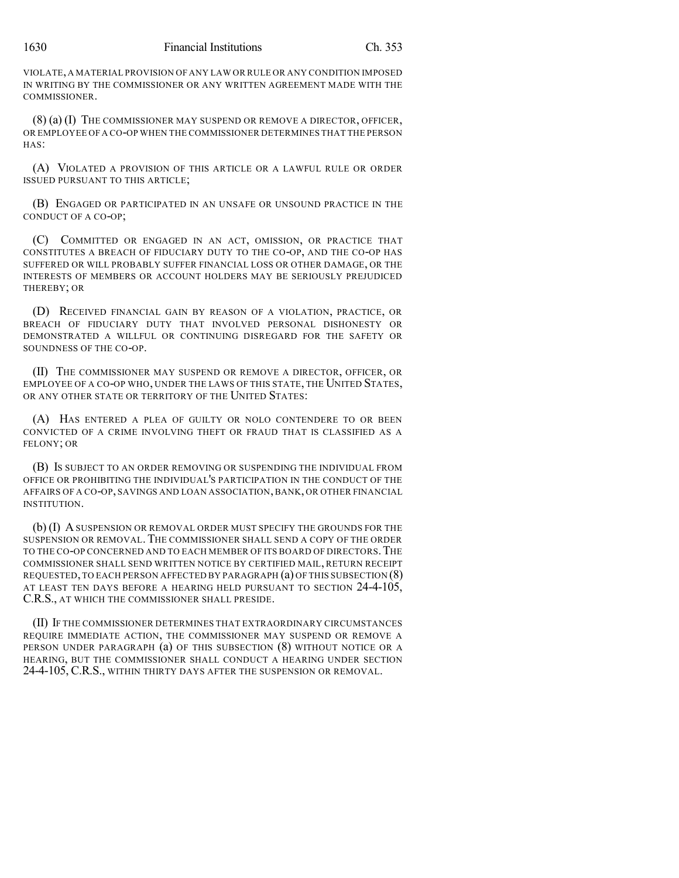VIOLATE, A MATERIAL PROVISION OF ANY LAW OR RULE OR ANY CONDITION IMPOSED IN WRITING BY THE COMMISSIONER OR ANY WRITTEN AGREEMENT MADE WITH THE COMMISSIONER.

(8) (a) (I) THE COMMISSIONER MAY SUSPEND OR REMOVE A DIRECTOR, OFFICER, OR EMPLOYEE OF A CO-OP WHEN THE COMMISSIONER DETERMINES THAT THE PERSON HAS:

(A) VIOLATED A PROVISION OF THIS ARTICLE OR A LAWFUL RULE OR ORDER ISSUED PURSUANT TO THIS ARTICLE;

(B) ENGAGED OR PARTICIPATED IN AN UNSAFE OR UNSOUND PRACTICE IN THE CONDUCT OF A CO-OP;

(C) COMMITTED OR ENGAGED IN AN ACT, OMISSION, OR PRACTICE THAT CONSTITUTES A BREACH OF FIDUCIARY DUTY TO THE CO-OP, AND THE CO-OP HAS SUFFERED OR WILL PROBABLY SUFFER FINANCIAL LOSS OR OTHER DAMAGE, OR THE INTERESTS OF MEMBERS OR ACCOUNT HOLDERS MAY BE SERIOUSLY PREJUDICED THEREBY; OR

(D) RECEIVED FINANCIAL GAIN BY REASON OF A VIOLATION, PRACTICE, OR BREACH OF FIDUCIARY DUTY THAT INVOLVED PERSONAL DISHONESTY OR DEMONSTRATED A WILLFUL OR CONTINUING DISREGARD FOR THE SAFETY OR SOUNDNESS OF THE CO-OP.

(II) THE COMMISSIONER MAY SUSPEND OR REMOVE A DIRECTOR, OFFICER, OR EMPLOYEE OF A CO-OP WHO, UNDER THE LAWS OF THIS STATE, THE UNITED STATES, OR ANY OTHER STATE OR TERRITORY OF THE UNITED STATES:

(A) HAS ENTERED A PLEA OF GUILTY OR NOLO CONTENDERE TO OR BEEN CONVICTED OF A CRIME INVOLVING THEFT OR FRAUD THAT IS CLASSIFIED AS A FELONY; OR

(B) IS SUBJECT TO AN ORDER REMOVING OR SUSPENDING THE INDIVIDUAL FROM OFFICE OR PROHIBITING THE INDIVIDUAL'S PARTICIPATION IN THE CONDUCT OF THE AFFAIRS OF A CO-OP, SAVINGS AND LOAN ASSOCIATION, BANK, OR OTHER FINANCIAL INSTITUTION.

(b) (I) ASUSPENSION OR REMOVAL ORDER MUST SPECIFY THE GROUNDS FOR THE SUSPENSION OR REMOVAL.THE COMMISSIONER SHALL SEND A COPY OF THE ORDER TO THE CO-OP CONCERNED AND TO EACH MEMBER OF ITS BOARD OF DIRECTORS.THE COMMISSIONER SHALL SEND WRITTEN NOTICE BY CERTIFIED MAIL, RETURN RECEIPT REQUESTED,TO EACH PERSON AFFECTED BY PARAGRAPH (a) OF THIS SUBSECTION (8) AT LEAST TEN DAYS BEFORE A HEARING HELD PURSUANT TO SECTION 24-4-105, C.R.S., AT WHICH THE COMMISSIONER SHALL PRESIDE.

(II) IF THE COMMISSIONER DETERMINES THAT EXTRAORDINARY CIRCUMSTANCES REQUIRE IMMEDIATE ACTION, THE COMMISSIONER MAY SUSPEND OR REMOVE A PERSON UNDER PARAGRAPH (a) OF THIS SUBSECTION (8) WITHOUT NOTICE OR A HEARING, BUT THE COMMISSIONER SHALL CONDUCT A HEARING UNDER SECTION 24-4-105, C.R.S., WITHIN THIRTY DAYS AFTER THE SUSPENSION OR REMOVAL.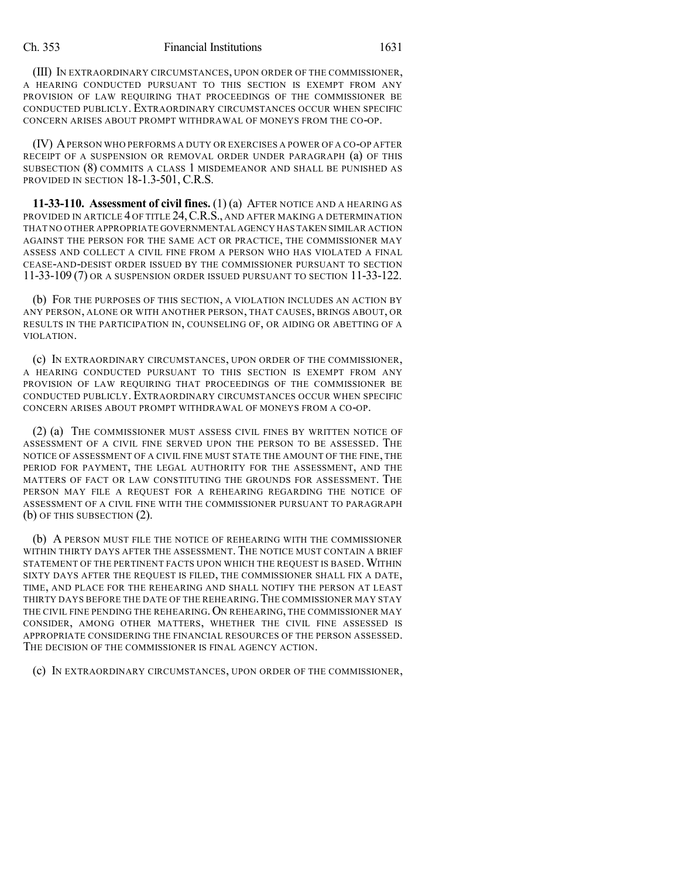(III) IN EXTRAORDINARY CIRCUMSTANCES, UPON ORDER OF THE COMMISSIONER, A HEARING CONDUCTED PURSUANT TO THIS SECTION IS EXEMPT FROM ANY PROVISION OF LAW REQUIRING THAT PROCEEDINGS OF THE COMMISSIONER BE CONDUCTED PUBLICLY. EXTRAORDINARY CIRCUMSTANCES OCCUR WHEN SPECIFIC CONCERN ARISES ABOUT PROMPT WITHDRAWAL OF MONEYS FROM THE CO-OP.

(IV) APERSON WHO PERFORMS A DUTY OR EXERCISES A POWER OF A CO-OP AFTER RECEIPT OF A SUSPENSION OR REMOVAL ORDER UNDER PARAGRAPH (a) OF THIS SUBSECTION (8) COMMITS A CLASS 1 MISDEMEANOR AND SHALL BE PUNISHED AS PROVIDED IN SECTION 18-1.3-501, C.R.S.

**11-33-110. Assessment of civil fines.** (1) (a) AFTER NOTICE AND A HEARING AS PROVIDED IN ARTICLE 4 OF TITLE 24,C.R.S., AND AFTER MAKING A DETERMINATION THAT NO OTHER APPROPRIATE GOVERNMENTAL AGENCY HAS TAKEN SIMILAR ACTION AGAINST THE PERSON FOR THE SAME ACT OR PRACTICE, THE COMMISSIONER MAY ASSESS AND COLLECT A CIVIL FINE FROM A PERSON WHO HAS VIOLATED A FINAL CEASE-AND-DESIST ORDER ISSUED BY THE COMMISSIONER PURSUANT TO SECTION 11-33-109 (7) OR A SUSPENSION ORDER ISSUED PURSUANT TO SECTION 11-33-122.

(b) FOR THE PURPOSES OF THIS SECTION, A VIOLATION INCLUDES AN ACTION BY ANY PERSON, ALONE OR WITH ANOTHER PERSON, THAT CAUSES, BRINGS ABOUT, OR RESULTS IN THE PARTICIPATION IN, COUNSELING OF, OR AIDING OR ABETTING OF A VIOLATION.

(c) IN EXTRAORDINARY CIRCUMSTANCES, UPON ORDER OF THE COMMISSIONER, A HEARING CONDUCTED PURSUANT TO THIS SECTION IS EXEMPT FROM ANY PROVISION OF LAW REQUIRING THAT PROCEEDINGS OF THE COMMISSIONER BE CONDUCTED PUBLICLY. EXTRAORDINARY CIRCUMSTANCES OCCUR WHEN SPECIFIC CONCERN ARISES ABOUT PROMPT WITHDRAWAL OF MONEYS FROM A CO-OP.

(2) (a) THE COMMISSIONER MUST ASSESS CIVIL FINES BY WRITTEN NOTICE OF ASSESSMENT OF A CIVIL FINE SERVED UPON THE PERSON TO BE ASSESSED. THE NOTICE OF ASSESSMENT OF A CIVIL FINE MUST STATE THE AMOUNT OF THE FINE, THE PERIOD FOR PAYMENT, THE LEGAL AUTHORITY FOR THE ASSESSMENT, AND THE MATTERS OF FACT OR LAW CONSTITUTING THE GROUNDS FOR ASSESSMENT. THE PERSON MAY FILE A REQUEST FOR A REHEARING REGARDING THE NOTICE OF ASSESSMENT OF A CIVIL FINE WITH THE COMMISSIONER PURSUANT TO PARAGRAPH (b) OF THIS SUBSECTION (2).

(b) A PERSON MUST FILE THE NOTICE OF REHEARING WITH THE COMMISSIONER WITHIN THIRTY DAYS AFTER THE ASSESSMENT. THE NOTICE MUST CONTAIN A BRIEF STATEMENT OF THE PERTINENT FACTS UPON WHICH THE REQUEST IS BASED.WITHIN SIXTY DAYS AFTER THE REQUEST IS FILED, THE COMMISSIONER SHALL FIX A DATE, TIME, AND PLACE FOR THE REHEARING AND SHALL NOTIFY THE PERSON AT LEAST THIRTY DAYS BEFORE THE DATE OF THE REHEARING. THE COMMISSIONER MAY STAY THE CIVIL FINE PENDING THE REHEARING. ON REHEARING, THE COMMISSIONER MAY CONSIDER, AMONG OTHER MATTERS, WHETHER THE CIVIL FINE ASSESSED IS APPROPRIATE CONSIDERING THE FINANCIAL RESOURCES OF THE PERSON ASSESSED. THE DECISION OF THE COMMISSIONER IS FINAL AGENCY ACTION.

(c) IN EXTRAORDINARY CIRCUMSTANCES, UPON ORDER OF THE COMMISSIONER,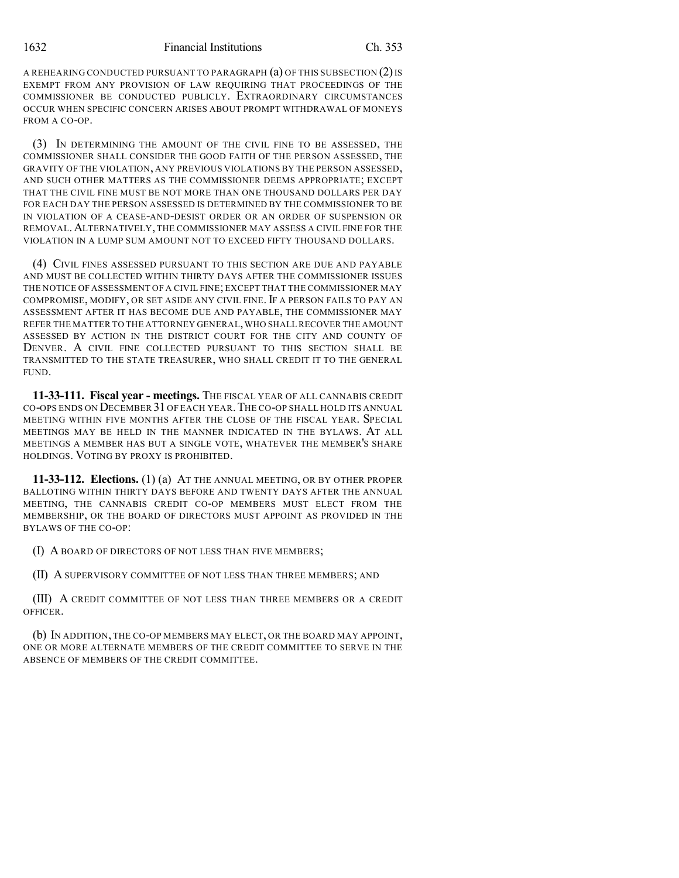A REHEARING CONDUCTED PURSUANT TO PARAGRAPH (a) OF THIS SUBSECTION (2)IS EXEMPT FROM ANY PROVISION OF LAW REQUIRING THAT PROCEEDINGS OF THE COMMISSIONER BE CONDUCTED PUBLICLY. EXTRAORDINARY CIRCUMSTANCES OCCUR WHEN SPECIFIC CONCERN ARISES ABOUT PROMPT WITHDRAWAL OF MONEYS FROM A CO-OP.

(3) IN DETERMINING THE AMOUNT OF THE CIVIL FINE TO BE ASSESSED, THE COMMISSIONER SHALL CONSIDER THE GOOD FAITH OF THE PERSON ASSESSED, THE GRAVITY OF THE VIOLATION, ANY PREVIOUS VIOLATIONS BY THE PERSON ASSESSED, AND SUCH OTHER MATTERS AS THE COMMISSIONER DEEMS APPROPRIATE; EXCEPT THAT THE CIVIL FINE MUST BE NOT MORE THAN ONE THOUSAND DOLLARS PER DAY FOR EACH DAY THE PERSON ASSESSED IS DETERMINED BY THE COMMISSIONER TO BE IN VIOLATION OF A CEASE-AND-DESIST ORDER OR AN ORDER OF SUSPENSION OR REMOVAL.ALTERNATIVELY, THE COMMISSIONER MAY ASSESS A CIVIL FINE FOR THE VIOLATION IN A LUMP SUM AMOUNT NOT TO EXCEED FIFTY THOUSAND DOLLARS.

(4) CIVIL FINES ASSESSED PURSUANT TO THIS SECTION ARE DUE AND PAYABLE AND MUST BE COLLECTED WITHIN THIRTY DAYS AFTER THE COMMISSIONER ISSUES THE NOTICE OF ASSESSMENT OF A CIVIL FINE; EXCEPT THAT THE COMMISSIONER MAY COMPROMISE, MODIFY, OR SET ASIDE ANY CIVIL FINE.IF A PERSON FAILS TO PAY AN ASSESSMENT AFTER IT HAS BECOME DUE AND PAYABLE, THE COMMISSIONER MAY REFER THE MATTER TO THE ATTORNEY GENERAL,WHO SHALL RECOVER THE AMOUNT ASSESSED BY ACTION IN THE DISTRICT COURT FOR THE CITY AND COUNTY OF DENVER. A CIVIL FINE COLLECTED PURSUANT TO THIS SECTION SHALL BE TRANSMITTED TO THE STATE TREASURER, WHO SHALL CREDIT IT TO THE GENERAL FUND.

**11-33-111. Fiscal year - meetings.** THE FISCAL YEAR OF ALL CANNABIS CREDIT CO-OPS ENDS ON DECEMBER 31 OF EACH YEAR.THE CO-OP SHALL HOLD ITS ANNUAL MEETING WITHIN FIVE MONTHS AFTER THE CLOSE OF THE FISCAL YEAR. SPECIAL MEETINGS MAY BE HELD IN THE MANNER INDICATED IN THE BYLAWS. AT ALL MEETINGS A MEMBER HAS BUT A SINGLE VOTE, WHATEVER THE MEMBER'S SHARE HOLDINGS. VOTING BY PROXY IS PROHIBITED.

**11-33-112. Elections.** (1) (a) AT THE ANNUAL MEETING, OR BY OTHER PROPER BALLOTING WITHIN THIRTY DAYS BEFORE AND TWENTY DAYS AFTER THE ANNUAL MEETING, THE CANNABIS CREDIT CO-OP MEMBERS MUST ELECT FROM THE MEMBERSHIP, OR THE BOARD OF DIRECTORS MUST APPOINT AS PROVIDED IN THE BYLAWS OF THE CO-OP:

(I) A BOARD OF DIRECTORS OF NOT LESS THAN FIVE MEMBERS;

(II) A SUPERVISORY COMMITTEE OF NOT LESS THAN THREE MEMBERS; AND

(III) A CREDIT COMMITTEE OF NOT LESS THAN THREE MEMBERS OR A CREDIT OFFICER.

(b) IN ADDITION, THE CO-OP MEMBERS MAY ELECT, OR THE BOARD MAY APPOINT, ONE OR MORE ALTERNATE MEMBERS OF THE CREDIT COMMITTEE TO SERVE IN THE ABSENCE OF MEMBERS OF THE CREDIT COMMITTEE.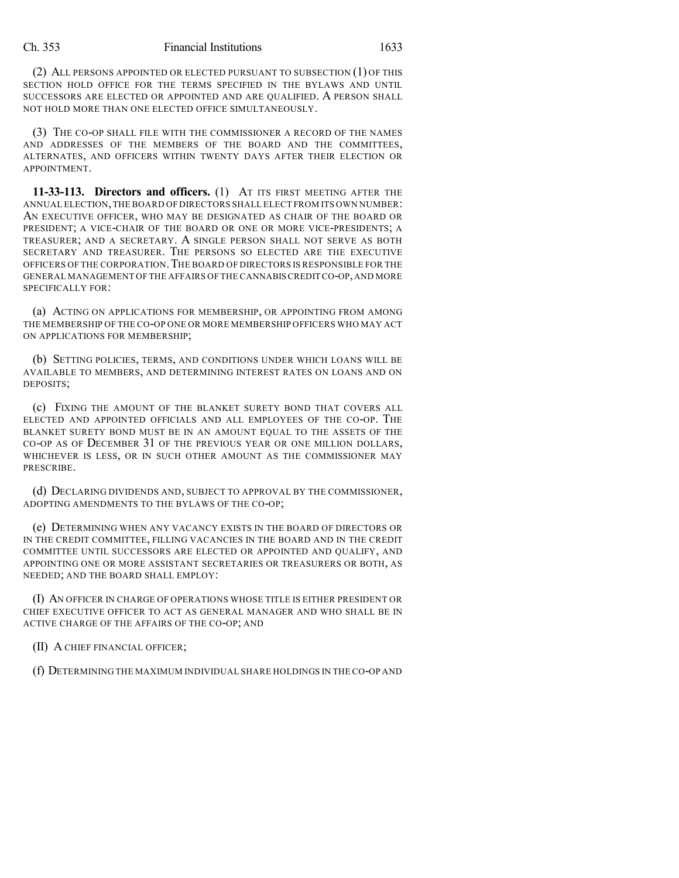(2) ALL PERSONS APPOINTED OR ELECTED PURSUANT TO SUBSECTION (1) OF THIS SECTION HOLD OFFICE FOR THE TERMS SPECIFIED IN THE BYLAWS AND UNTIL SUCCESSORS ARE ELECTED OR APPOINTED AND ARE QUALIFIED. A PERSON SHALL NOT HOLD MORE THAN ONE ELECTED OFFICE SIMULTANEOUSLY.

(3) THE CO-OP SHALL FILE WITH THE COMMISSIONER A RECORD OF THE NAMES AND ADDRESSES OF THE MEMBERS OF THE BOARD AND THE COMMITTEES, ALTERNATES, AND OFFICERS WITHIN TWENTY DAYS AFTER THEIR ELECTION OR APPOINTMENT.

**11-33-113. Directors and officers.** (1) AT ITS FIRST MEETING AFTER THE ANNUAL ELECTION,THE BOARD OF DIRECTORS SHALL ELECT FROM ITS OWN NUMBER: AN EXECUTIVE OFFICER, WHO MAY BE DESIGNATED AS CHAIR OF THE BOARD OR PRESIDENT; A VICE-CHAIR OF THE BOARD OR ONE OR MORE VICE-PRESIDENTS; A TREASURER; AND A SECRETARY. A SINGLE PERSON SHALL NOT SERVE AS BOTH SECRETARY AND TREASURER. THE PERSONS SO ELECTED ARE THE EXECUTIVE OFFICERS OF THE CORPORATION.THE BOARD OF DIRECTORS IS RESPONSIBLE FOR THE GENERAL MANAGEMENT OF THE AFFAIRS OF THE CANNABISCREDIT CO-OP,AND MORE SPECIFICALLY FOR:

(a) ACTING ON APPLICATIONS FOR MEMBERSHIP, OR APPOINTING FROM AMONG THE MEMBERSHIP OF THE CO-OP ONE OR MORE MEMBERSHIP OFFICERS WHO MAY ACT ON APPLICATIONS FOR MEMBERSHIP;

(b) SETTING POLICIES, TERMS, AND CONDITIONS UNDER WHICH LOANS WILL BE AVAILABLE TO MEMBERS, AND DETERMINING INTEREST RATES ON LOANS AND ON DEPOSITS;

(c) FIXING THE AMOUNT OF THE BLANKET SURETY BOND THAT COVERS ALL ELECTED AND APPOINTED OFFICIALS AND ALL EMPLOYEES OF THE CO-OP. THE BLANKET SURETY BOND MUST BE IN AN AMOUNT EQUAL TO THE ASSETS OF THE CO-OP AS OF DECEMBER 31 OF THE PREVIOUS YEAR OR ONE MILLION DOLLARS, WHICHEVER IS LESS, OR IN SUCH OTHER AMOUNT AS THE COMMISSIONER MAY PRESCRIBE.

(d) DECLARING DIVIDENDS AND, SUBJECT TO APPROVAL BY THE COMMISSIONER, ADOPTING AMENDMENTS TO THE BYLAWS OF THE CO-OP;

(e) DETERMINING WHEN ANY VACANCY EXISTS IN THE BOARD OF DIRECTORS OR IN THE CREDIT COMMITTEE, FILLING VACANCIES IN THE BOARD AND IN THE CREDIT COMMITTEE UNTIL SUCCESSORS ARE ELECTED OR APPOINTED AND QUALIFY, AND APPOINTING ONE OR MORE ASSISTANT SECRETARIES OR TREASURERS OR BOTH, AS NEEDED; AND THE BOARD SHALL EMPLOY:

(I) AN OFFICER IN CHARGE OF OPERATIONS WHOSE TITLE IS EITHER PRESIDENT OR CHIEF EXECUTIVE OFFICER TO ACT AS GENERAL MANAGER AND WHO SHALL BE IN ACTIVE CHARGE OF THE AFFAIRS OF THE CO-OP; AND

(II) A CHIEF FINANCIAL OFFICER;

(f) DETERMINING THE MAXIMUM INDIVIDUAL SHARE HOLDINGS IN THE CO-OP AND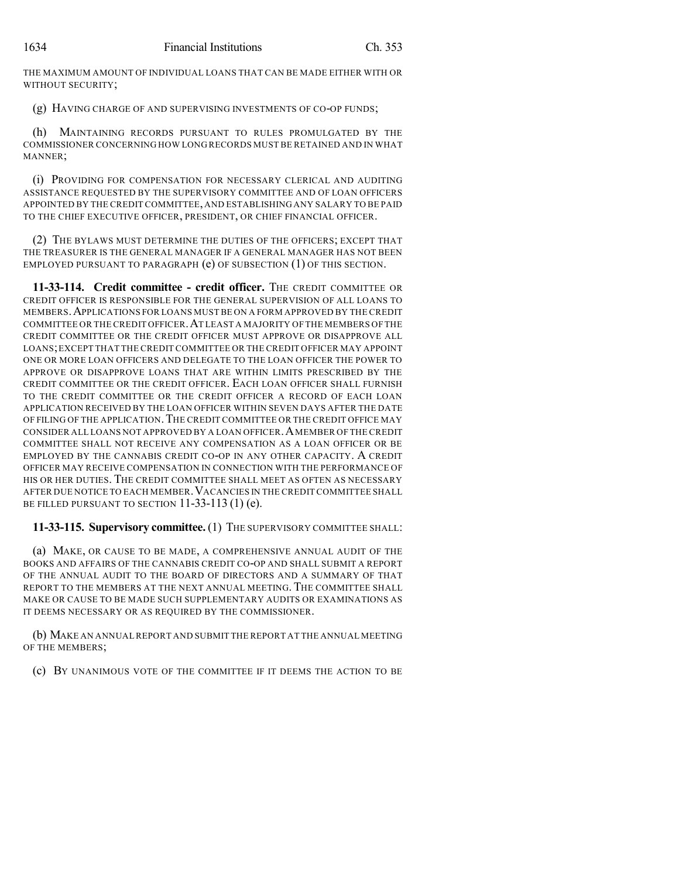THE MAXIMUM AMOUNT OF INDIVIDUAL LOANS THAT CAN BE MADE EITHER WITH OR WITHOUT SECURITY;

(g) HAVING CHARGE OF AND SUPERVISING INVESTMENTS OF CO-OP FUNDS;

MAINTAINING RECORDS PURSUANT TO RULES PROMULGATED BY THE COMMISSIONER CONCERNING HOW LONG RECORDS MUST BE RETAINED AND IN WHAT MANNER;

(i) PROVIDING FOR COMPENSATION FOR NECESSARY CLERICAL AND AUDITING ASSISTANCE REQUESTED BY THE SUPERVISORY COMMITTEE AND OF LOAN OFFICERS APPOINTED BY THE CREDIT COMMITTEE, AND ESTABLISHING ANY SALARY TO BE PAID TO THE CHIEF EXECUTIVE OFFICER, PRESIDENT, OR CHIEF FINANCIAL OFFICER.

(2) THE BYLAWS MUST DETERMINE THE DUTIES OF THE OFFICERS; EXCEPT THAT THE TREASURER IS THE GENERAL MANAGER IF A GENERAL MANAGER HAS NOT BEEN EMPLOYED PURSUANT TO PARAGRAPH (e) OF SUBSECTION (1) OF THIS SECTION.

**11-33-114. Credit committee - credit officer.** THE CREDIT COMMITTEE OR CREDIT OFFICER IS RESPONSIBLE FOR THE GENERAL SUPERVISION OF ALL LOANS TO MEMBERS.APPLICATIONS FOR LOANS MUSTBE ON A FORM APPROVED BY THE CREDIT COMMITTEE OR THE CREDIT OFFICER.AT LEAST A MAJORITY OF THE MEMBERS OF THE CREDIT COMMITTEE OR THE CREDIT OFFICER MUST APPROVE OR DISAPPROVE ALL LOANS;EXCEPT THAT THE CREDIT COMMITTEE OR THE CREDIT OFFICER MAY APPOINT ONE OR MORE LOAN OFFICERS AND DELEGATE TO THE LOAN OFFICER THE POWER TO APPROVE OR DISAPPROVE LOANS THAT ARE WITHIN LIMITS PRESCRIBED BY THE CREDIT COMMITTEE OR THE CREDIT OFFICER. EACH LOAN OFFICER SHALL FURNISH TO THE CREDIT COMMITTEE OR THE CREDIT OFFICER A RECORD OF EACH LOAN APPLICATION RECEIVED BY THE LOAN OFFICER WITHIN SEVEN DAYS AFTER THE DATE OF FILING OF THE APPLICATION. THE CREDIT COMMITTEE OR THE CREDIT OFFICE MAY CONSIDER ALL LOANS NOT APPROVED BY A LOAN OFFICER.AMEMBER OF THE CREDIT COMMITTEE SHALL NOT RECEIVE ANY COMPENSATION AS A LOAN OFFICER OR BE EMPLOYED BY THE CANNABIS CREDIT CO-OP IN ANY OTHER CAPACITY. A CREDIT OFFICER MAY RECEIVE COMPENSATION IN CONNECTION WITH THE PERFORMANCE OF HIS OR HER DUTIES. THE CREDIT COMMITTEE SHALL MEET AS OFTEN AS NECESSARY AFTER DUE NOTICE TO EACH MEMBER.VACANCIES IN THE CREDIT COMMITTEE SHALL BE FILLED PURSUANT TO SECTION  $11-33-113$  (1) (e).

**11-33-115. Supervisory committee.** (1) THE SUPERVISORY COMMITTEE SHALL:

(a) MAKE, OR CAUSE TO BE MADE, A COMPREHENSIVE ANNUAL AUDIT OF THE BOOKS AND AFFAIRS OF THE CANNABIS CREDIT CO-OP AND SHALL SUBMIT A REPORT OF THE ANNUAL AUDIT TO THE BOARD OF DIRECTORS AND A SUMMARY OF THAT REPORT TO THE MEMBERS AT THE NEXT ANNUAL MEETING. THE COMMITTEE SHALL MAKE OR CAUSE TO BE MADE SUCH SUPPLEMENTARY AUDITS OR EXAMINATIONS AS IT DEEMS NECESSARY OR AS REQUIRED BY THE COMMISSIONER.

(b) MAKE AN ANNUALREPORT AND SUBMIT THE REPORT AT THE ANNUAL MEETING OF THE MEMBERS;

(c) BY UNANIMOUS VOTE OF THE COMMITTEE IF IT DEEMS THE ACTION TO BE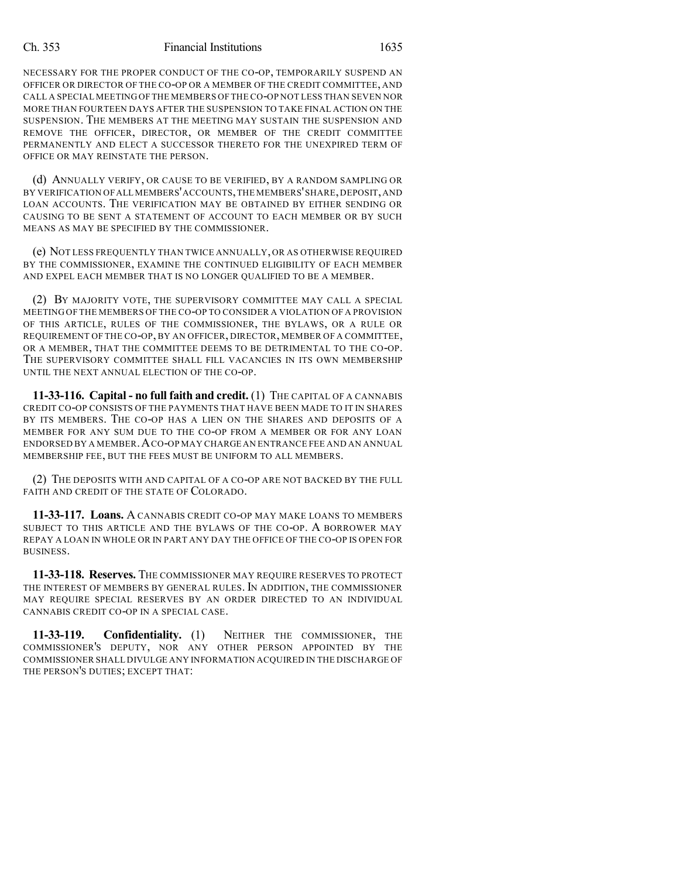NECESSARY FOR THE PROPER CONDUCT OF THE CO-OP, TEMPORARILY SUSPEND AN OFFICER OR DIRECTOR OF THE CO-OP OR A MEMBER OF THE CREDIT COMMITTEE, AND CALL A SPECIAL MEETING OF THE MEMBERS OF THE CO-OP NOT LESS THAN SEVEN NOR MORE THAN FOURTEEN DAYS AFTER THE SUSPENSION TO TAKE FINAL ACTION ON THE SUSPENSION. THE MEMBERS AT THE MEETING MAY SUSTAIN THE SUSPENSION AND REMOVE THE OFFICER, DIRECTOR, OR MEMBER OF THE CREDIT COMMITTEE PERMANENTLY AND ELECT A SUCCESSOR THERETO FOR THE UNEXPIRED TERM OF OFFICE OR MAY REINSTATE THE PERSON.

(d) ANNUALLY VERIFY, OR CAUSE TO BE VERIFIED, BY A RANDOM SAMPLING OR BY VERIFICATION OFALL MEMBERS'ACCOUNTS,THE MEMBERS'SHARE,DEPOSIT,AND LOAN ACCOUNTS. THE VERIFICATION MAY BE OBTAINED BY EITHER SENDING OR CAUSING TO BE SENT A STATEMENT OF ACCOUNT TO EACH MEMBER OR BY SUCH MEANS AS MAY BE SPECIFIED BY THE COMMISSIONER.

(e) NOT LESS FREQUENTLY THAN TWICE ANNUALLY, OR AS OTHERWISE REQUIRED BY THE COMMISSIONER, EXAMINE THE CONTINUED ELIGIBILITY OF EACH MEMBER AND EXPEL EACH MEMBER THAT IS NO LONGER QUALIFIED TO BE A MEMBER.

(2) BY MAJORITY VOTE, THE SUPERVISORY COMMITTEE MAY CALL A SPECIAL MEETING OF THE MEMBERS OF THE CO-OP TO CONSIDER A VIOLATION OF A PROVISION OF THIS ARTICLE, RULES OF THE COMMISSIONER, THE BYLAWS, OR A RULE OR REQUIREMENT OF THE CO-OP, BY AN OFFICER, DIRECTOR, MEMBER OF A COMMITTEE, OR A MEMBER, THAT THE COMMITTEE DEEMS TO BE DETRIMENTAL TO THE CO-OP. THE SUPERVISORY COMMITTEE SHALL FILL VACANCIES IN ITS OWN MEMBERSHIP UNTIL THE NEXT ANNUAL ELECTION OF THE CO-OP.

**11-33-116. Capital - no full faith and credit.** (1) THE CAPITAL OF A CANNABIS CREDIT CO-OP CONSISTS OF THE PAYMENTS THAT HAVE BEEN MADE TO IT IN SHARES BY ITS MEMBERS. THE CO-OP HAS A LIEN ON THE SHARES AND DEPOSITS OF A MEMBER FOR ANY SUM DUE TO THE CO-OP FROM A MEMBER OR FOR ANY LOAN ENDORSED BY A MEMBER.ACO-OP MAY CHARGE AN ENTRANCE FEE AND AN ANNUAL MEMBERSHIP FEE, BUT THE FEES MUST BE UNIFORM TO ALL MEMBERS.

(2) THE DEPOSITS WITH AND CAPITAL OF A CO-OP ARE NOT BACKED BY THE FULL FAITH AND CREDIT OF THE STATE OF COLORADO.

**11-33-117. Loans.** A CANNABIS CREDIT CO-OP MAY MAKE LOANS TO MEMBERS SUBJECT TO THIS ARTICLE AND THE BYLAWS OF THE CO-OP. A BORROWER MAY REPAY A LOAN IN WHOLE OR IN PART ANY DAY THE OFFICE OF THE CO-OP IS OPEN FOR BUSINESS.

**11-33-118. Reserves.** THE COMMISSIONER MAY REQUIRE RESERVES TO PROTECT THE INTEREST OF MEMBERS BY GENERAL RULES. IN ADDITION, THE COMMISSIONER MAY REQUIRE SPECIAL RESERVES BY AN ORDER DIRECTED TO AN INDIVIDUAL CANNABIS CREDIT CO-OP IN A SPECIAL CASE.

**11-33-119. Confidentiality.** (1) NEITHER THE COMMISSIONER, THE COMMISSIONER'S DEPUTY, NOR ANY OTHER PERSON APPOINTED BY THE COMMISSIONER SHALL DIVULGE ANY INFORMATION ACQUIRED IN THE DISCHARGE OF THE PERSON'S DUTIES; EXCEPT THAT: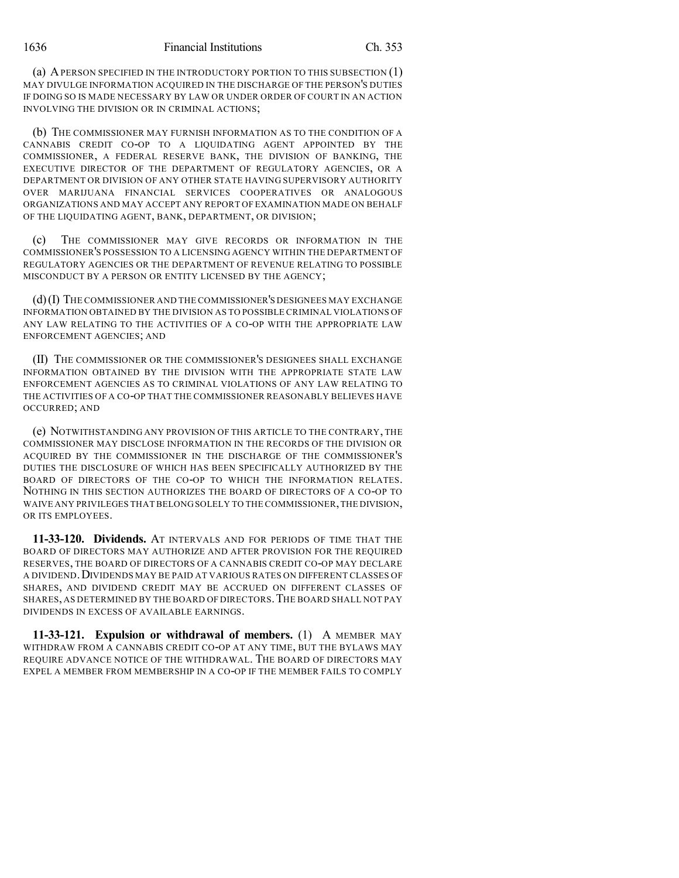(a) APERSON SPECIFIED IN THE INTRODUCTORY PORTION TO THIS SUBSECTION (1) MAY DIVULGE INFORMATION ACQUIRED IN THE DISCHARGE OF THE PERSON'S DUTIES IF DOING SO IS MADE NECESSARY BY LAW OR UNDER ORDER OF COURT IN AN ACTION INVOLVING THE DIVISION OR IN CRIMINAL ACTIONS;

(b) THE COMMISSIONER MAY FURNISH INFORMATION AS TO THE CONDITION OF A CANNABIS CREDIT CO-OP TO A LIQUIDATING AGENT APPOINTED BY THE COMMISSIONER, A FEDERAL RESERVE BANK, THE DIVISION OF BANKING, THE EXECUTIVE DIRECTOR OF THE DEPARTMENT OF REGULATORY AGENCIES, OR A DEPARTMENT OR DIVISION OF ANY OTHER STATE HAVING SUPERVISORY AUTHORITY OVER MARIJUANA FINANCIAL SERVICES COOPERATIVES OR ANALOGOUS ORGANIZATIONS AND MAY ACCEPT ANY REPORT OF EXAMINATION MADE ON BEHALF OF THE LIQUIDATING AGENT, BANK, DEPARTMENT, OR DIVISION;

(c) THE COMMISSIONER MAY GIVE RECORDS OR INFORMATION IN THE COMMISSIONER'S POSSESSION TO A LICENSING AGENCY WITHIN THE DEPARTMENT OF REGULATORY AGENCIES OR THE DEPARTMENT OF REVENUE RELATING TO POSSIBLE MISCONDUCT BY A PERSON OR ENTITY LICENSED BY THE AGENCY;

(d)(I) THE COMMISSIONER AND THE COMMISSIONER'S DESIGNEES MAY EXCHANGE INFORMATION OBTAINED BY THE DIVISION AS TO POSSIBLE CRIMINAL VIOLATIONS OF ANY LAW RELATING TO THE ACTIVITIES OF A CO-OP WITH THE APPROPRIATE LAW ENFORCEMENT AGENCIES; AND

(II) THE COMMISSIONER OR THE COMMISSIONER'S DESIGNEES SHALL EXCHANGE INFORMATION OBTAINED BY THE DIVISION WITH THE APPROPRIATE STATE LAW ENFORCEMENT AGENCIES AS TO CRIMINAL VIOLATIONS OF ANY LAW RELATING TO THE ACTIVITIES OF A CO-OP THAT THE COMMISSIONER REASONABLY BELIEVES HAVE OCCURRED; AND

(e) NOTWITHSTANDING ANY PROVISION OF THIS ARTICLE TO THE CONTRARY, THE COMMISSIONER MAY DISCLOSE INFORMATION IN THE RECORDS OF THE DIVISION OR ACQUIRED BY THE COMMISSIONER IN THE DISCHARGE OF THE COMMISSIONER'S DUTIES THE DISCLOSURE OF WHICH HAS BEEN SPECIFICALLY AUTHORIZED BY THE BOARD OF DIRECTORS OF THE CO-OP TO WHICH THE INFORMATION RELATES. NOTHING IN THIS SECTION AUTHORIZES THE BOARD OF DIRECTORS OF A CO-OP TO WAIVE ANY PRIVILEGES THAT BELONGSOLELY TO THE COMMISSIONER,THE DIVISION, OR ITS EMPLOYEES.

**11-33-120. Dividends.** AT INTERVALS AND FOR PERIODS OF TIME THAT THE BOARD OF DIRECTORS MAY AUTHORIZE AND AFTER PROVISION FOR THE REQUIRED RESERVES, THE BOARD OF DIRECTORS OF A CANNABIS CREDIT CO-OP MAY DECLARE A DIVIDEND. DIVIDENDS MAY BE PAID AT VARIOUS RATES ON DIFFERENT CLASSES OF SHARES, AND DIVIDEND CREDIT MAY BE ACCRUED ON DIFFERENT CLASSES OF SHARES, AS DETERMINED BY THE BOARD OF DIRECTORS.THE BOARD SHALL NOT PAY DIVIDENDS IN EXCESS OF AVAILABLE EARNINGS.

**11-33-121. Expulsion or withdrawal of members.** (1) A MEMBER MAY WITHDRAW FROM A CANNABIS CREDIT CO-OP AT ANY TIME, BUT THE BYLAWS MAY REQUIRE ADVANCE NOTICE OF THE WITHDRAWAL. THE BOARD OF DIRECTORS MAY EXPEL A MEMBER FROM MEMBERSHIP IN A CO-OP IF THE MEMBER FAILS TO COMPLY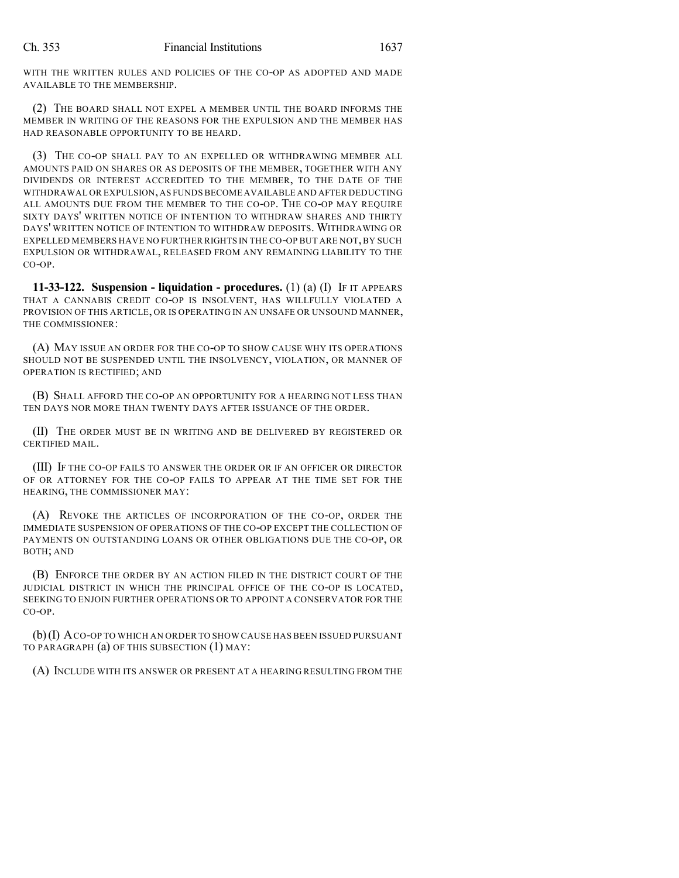WITH THE WRITTEN RULES AND POLICIES OF THE CO-OP AS ADOPTED AND MADE AVAILABLE TO THE MEMBERSHIP.

(2) THE BOARD SHALL NOT EXPEL A MEMBER UNTIL THE BOARD INFORMS THE MEMBER IN WRITING OF THE REASONS FOR THE EXPULSION AND THE MEMBER HAS HAD REASONABLE OPPORTUNITY TO BE HEARD.

(3) THE CO-OP SHALL PAY TO AN EXPELLED OR WITHDRAWING MEMBER ALL AMOUNTS PAID ON SHARES OR AS DEPOSITS OF THE MEMBER, TOGETHER WITH ANY DIVIDENDS OR INTEREST ACCREDITED TO THE MEMBER, TO THE DATE OF THE WITHDRAWAL OR EXPULSION,AS FUNDS BECOME AVAILABLE AND AFTER DEDUCTING ALL AMOUNTS DUE FROM THE MEMBER TO THE CO-OP. THE CO-OP MAY REQUIRE SIXTY DAYS' WRITTEN NOTICE OF INTENTION TO WITHDRAW SHARES AND THIRTY DAYS' WRITTEN NOTICE OF INTENTION TO WITHDRAW DEPOSITS. WITHDRAWING OR EXPELLED MEMBERS HAVE NO FURTHER RIGHTS IN THE CO-OP BUT ARE NOT,BY SUCH EXPULSION OR WITHDRAWAL, RELEASED FROM ANY REMAINING LIABILITY TO THE CO-OP.

**11-33-122. Suspension - liquidation - procedures.** (1) (a) (I) IF IT APPEARS THAT A CANNABIS CREDIT CO-OP IS INSOLVENT, HAS WILLFULLY VIOLATED A PROVISION OF THIS ARTICLE, OR IS OPERATING IN AN UNSAFE OR UNSOUND MANNER, THE COMMISSIONER:

(A) MAY ISSUE AN ORDER FOR THE CO-OP TO SHOW CAUSE WHY ITS OPERATIONS SHOULD NOT BE SUSPENDED UNTIL THE INSOLVENCY, VIOLATION, OR MANNER OF OPERATION IS RECTIFIED; AND

(B) SHALL AFFORD THE CO-OP AN OPPORTUNITY FOR A HEARING NOT LESS THAN TEN DAYS NOR MORE THAN TWENTY DAYS AFTER ISSUANCE OF THE ORDER.

(II) THE ORDER MUST BE IN WRITING AND BE DELIVERED BY REGISTERED OR CERTIFIED MAIL.

(III) IF THE CO-OP FAILS TO ANSWER THE ORDER OR IF AN OFFICER OR DIRECTOR OF OR ATTORNEY FOR THE CO-OP FAILS TO APPEAR AT THE TIME SET FOR THE HEARING, THE COMMISSIONER MAY:

(A) REVOKE THE ARTICLES OF INCORPORATION OF THE CO-OP, ORDER THE IMMEDIATE SUSPENSION OF OPERATIONS OF THE CO-OP EXCEPT THE COLLECTION OF PAYMENTS ON OUTSTANDING LOANS OR OTHER OBLIGATIONS DUE THE CO-OP, OR BOTH; AND

(B) ENFORCE THE ORDER BY AN ACTION FILED IN THE DISTRICT COURT OF THE JUDICIAL DISTRICT IN WHICH THE PRINCIPAL OFFICE OF THE CO-OP IS LOCATED, SEEKING TO ENJOIN FURTHER OPERATIONS OR TO APPOINT A CONSERVATOR FOR THE CO-OP.

(b)(I) ACO-OP TO WHICH AN ORDER TO SHOW CAUSE HAS BEEN ISSUED PURSUANT TO PARAGRAPH (a) OF THIS SUBSECTION (1) MAY:

(A) INCLUDE WITH ITS ANSWER OR PRESENT AT A HEARING RESULTING FROM THE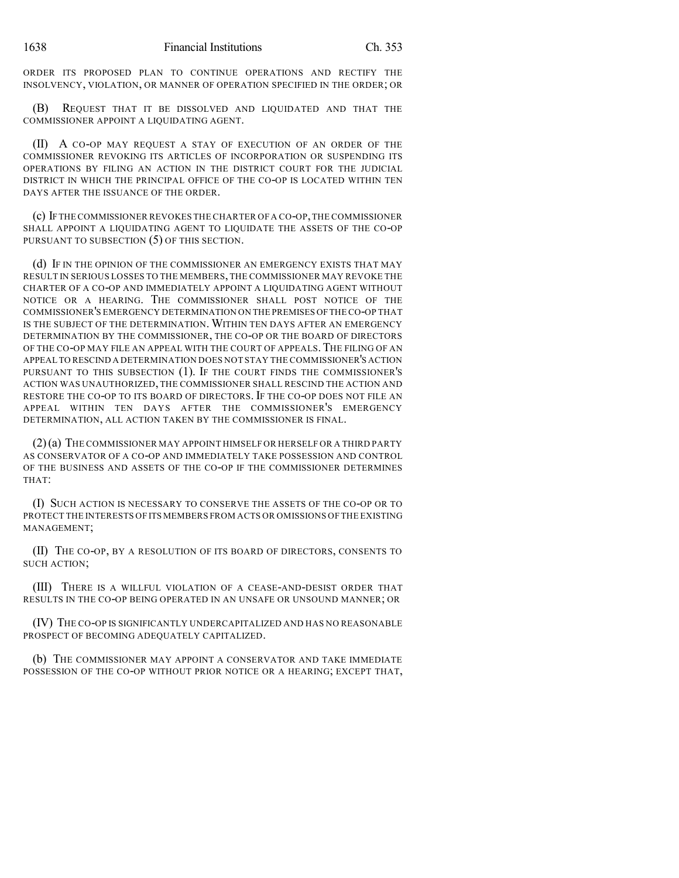ORDER ITS PROPOSED PLAN TO CONTINUE OPERATIONS AND RECTIFY THE INSOLVENCY, VIOLATION, OR MANNER OF OPERATION SPECIFIED IN THE ORDER; OR

(B) REQUEST THAT IT BE DISSOLVED AND LIQUIDATED AND THAT THE COMMISSIONER APPOINT A LIQUIDATING AGENT.

(II) A CO-OP MAY REQUEST A STAY OF EXECUTION OF AN ORDER OF THE COMMISSIONER REVOKING ITS ARTICLES OF INCORPORATION OR SUSPENDING ITS OPERATIONS BY FILING AN ACTION IN THE DISTRICT COURT FOR THE JUDICIAL DISTRICT IN WHICH THE PRINCIPAL OFFICE OF THE CO-OP IS LOCATED WITHIN TEN DAYS AFTER THE ISSUANCE OF THE ORDER.

(c) IFTHE COMMISSIONER REVOKES THE CHARTER OF A CO-OP,THE COMMISSIONER SHALL APPOINT A LIQUIDATING AGENT TO LIQUIDATE THE ASSETS OF THE CO-OP PURSUANT TO SUBSECTION (5) OF THIS SECTION.

(d) IF IN THE OPINION OF THE COMMISSIONER AN EMERGENCY EXISTS THAT MAY RESULT IN SERIOUS LOSSES TO THE MEMBERS, THE COMMISSIONER MAY REVOKE THE CHARTER OF A CO-OP AND IMMEDIATELY APPOINT A LIQUIDATING AGENT WITHOUT NOTICE OR A HEARING. THE COMMISSIONER SHALL POST NOTICE OF THE COMMISSIONER'S EMERGENCY DETERMINATION ON THE PREMISES OFTHE CO-OP THAT IS THE SUBJECT OF THE DETERMINATION. WITHIN TEN DAYS AFTER AN EMERGENCY DETERMINATION BY THE COMMISSIONER, THE CO-OP OR THE BOARD OF DIRECTORS OF THE CO-OP MAY FILE AN APPEAL WITH THE COURT OF APPEALS. THE FILING OF AN APPEAL TO RESCIND A DETERMINATION DOES NOT STAY THE COMMISSIONER'S ACTION PURSUANT TO THIS SUBSECTION (1). IF THE COURT FINDS THE COMMISSIONER'S ACTION WAS UNAUTHORIZED, THE COMMISSIONER SHALL RESCIND THE ACTION AND RESTORE THE CO-OP TO ITS BOARD OF DIRECTORS. IF THE CO-OP DOES NOT FILE AN APPEAL WITHIN TEN DAYS AFTER THE COMMISSIONER'S EMERGENCY DETERMINATION, ALL ACTION TAKEN BY THE COMMISSIONER IS FINAL.

(2)(a) THE COMMISSIONER MAY APPOINT HIMSELF OR HERSELF OR A THIRD PARTY AS CONSERVATOR OF A CO-OP AND IMMEDIATELY TAKE POSSESSION AND CONTROL OF THE BUSINESS AND ASSETS OF THE CO-OP IF THE COMMISSIONER DETERMINES THAT:

(I) SUCH ACTION IS NECESSARY TO CONSERVE THE ASSETS OF THE CO-OP OR TO PROTECT THE INTERESTS OF ITS MEMBERS FROM ACTS OR OMISSIONS OF THE EXISTING MANAGEMENT;

(II) THE CO-OP, BY A RESOLUTION OF ITS BOARD OF DIRECTORS, CONSENTS TO SUCH ACTION;

(III) THERE IS A WILLFUL VIOLATION OF A CEASE-AND-DESIST ORDER THAT RESULTS IN THE CO-OP BEING OPERATED IN AN UNSAFE OR UNSOUND MANNER; OR

(IV) THE CO-OP IS SIGNIFICANTLY UNDERCAPITALIZED AND HAS NO REASONABLE PROSPECT OF BECOMING ADEQUATELY CAPITALIZED.

(b) THE COMMISSIONER MAY APPOINT A CONSERVATOR AND TAKE IMMEDIATE POSSESSION OF THE CO-OP WITHOUT PRIOR NOTICE OR A HEARING; EXCEPT THAT,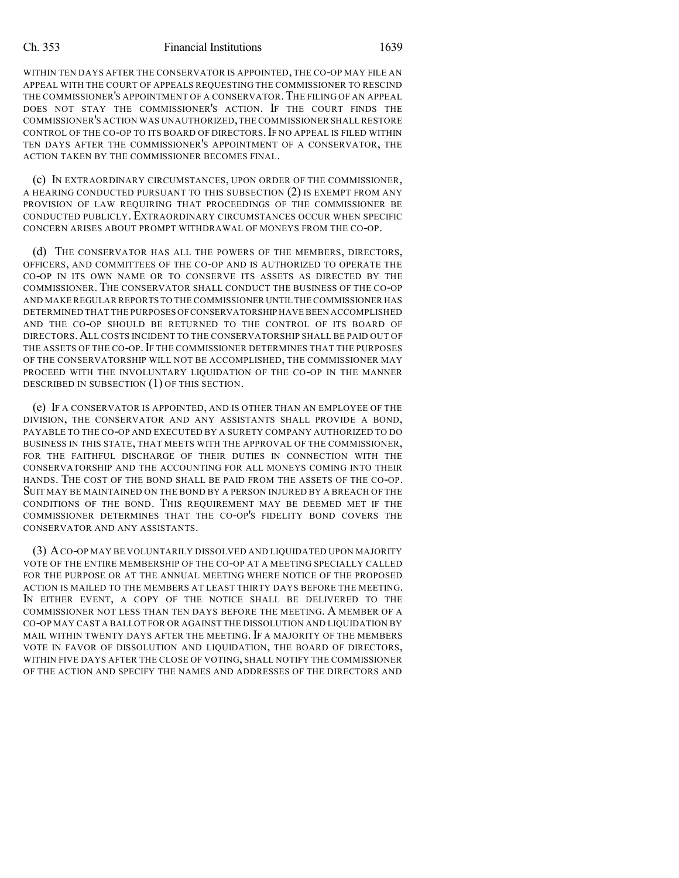WITHIN TEN DAYS AFTER THE CONSERVATOR IS APPOINTED, THE CO-OP MAY FILE AN APPEAL WITH THE COURT OF APPEALS REQUESTING THE COMMISSIONER TO RESCIND THE COMMISSIONER'S APPOINTMENT OF A CONSERVATOR. THE FILING OF AN APPEAL DOES NOT STAY THE COMMISSIONER'S ACTION. IF THE COURT FINDS THE COMMISSIONER'S ACTION WAS UNAUTHORIZED,THE COMMISSIONER SHALL RESTORE CONTROL OF THE CO-OP TO ITS BOARD OF DIRECTORS.IF NO APPEAL IS FILED WITHIN TEN DAYS AFTER THE COMMISSIONER'S APPOINTMENT OF A CONSERVATOR, THE ACTION TAKEN BY THE COMMISSIONER BECOMES FINAL.

(c) IN EXTRAORDINARY CIRCUMSTANCES, UPON ORDER OF THE COMMISSIONER, A HEARING CONDUCTED PURSUANT TO THIS SUBSECTION (2) IS EXEMPT FROM ANY PROVISION OF LAW REQUIRING THAT PROCEEDINGS OF THE COMMISSIONER BE CONDUCTED PUBLICLY. EXTRAORDINARY CIRCUMSTANCES OCCUR WHEN SPECIFIC CONCERN ARISES ABOUT PROMPT WITHDRAWAL OF MONEYS FROM THE CO-OP.

(d) THE CONSERVATOR HAS ALL THE POWERS OF THE MEMBERS, DIRECTORS, OFFICERS, AND COMMITTEES OF THE CO-OP AND IS AUTHORIZED TO OPERATE THE CO-OP IN ITS OWN NAME OR TO CONSERVE ITS ASSETS AS DIRECTED BY THE COMMISSIONER. THE CONSERVATOR SHALL CONDUCT THE BUSINESS OF THE CO-OP AND MAKE REGULAR REPORTS TO THE COMMISSIONER UNTIL THE COMMISSIONER HAS DETERMINED THAT THE PURPOSES OFCONSERVATORSHIP HAVE BEEN ACCOMPLISHED AND THE CO-OP SHOULD BE RETURNED TO THE CONTROL OF ITS BOARD OF DIRECTORS.ALL COSTS INCIDENT TO THE CONSERVATORSHIP SHALL BE PAID OUT OF THE ASSETS OF THE CO-OP. IF THE COMMISSIONER DETERMINES THAT THE PURPOSES OF THE CONSERVATORSHIP WILL NOT BE ACCOMPLISHED, THE COMMISSIONER MAY PROCEED WITH THE INVOLUNTARY LIQUIDATION OF THE CO-OP IN THE MANNER DESCRIBED IN SUBSECTION (1) OF THIS SECTION.

(e) IF A CONSERVATOR IS APPOINTED, AND IS OTHER THAN AN EMPLOYEE OF THE DIVISION, THE CONSERVATOR AND ANY ASSISTANTS SHALL PROVIDE A BOND, PAYABLE TO THE CO-OP AND EXECUTED BY A SURETY COMPANY AUTHORIZED TO DO BUSINESS IN THIS STATE, THAT MEETS WITH THE APPROVAL OF THE COMMISSIONER, FOR THE FAITHFUL DISCHARGE OF THEIR DUTIES IN CONNECTION WITH THE CONSERVATORSHIP AND THE ACCOUNTING FOR ALL MONEYS COMING INTO THEIR HANDS. THE COST OF THE BOND SHALL BE PAID FROM THE ASSETS OF THE CO-OP. SUIT MAY BE MAINTAINED ON THE BOND BY A PERSON INJURED BY A BREACH OF THE CONDITIONS OF THE BOND. THIS REQUIREMENT MAY BE DEEMED MET IF THE COMMISSIONER DETERMINES THAT THE CO-OP'S FIDELITY BOND COVERS THE CONSERVATOR AND ANY ASSISTANTS.

(3) ACO-OP MAY BE VOLUNTARILY DISSOLVED AND LIQUIDATED UPON MAJORITY VOTE OF THE ENTIRE MEMBERSHIP OF THE CO-OP AT A MEETING SPECIALLY CALLED FOR THE PURPOSE OR AT THE ANNUAL MEETING WHERE NOTICE OF THE PROPOSED ACTION IS MAILED TO THE MEMBERS AT LEAST THIRTY DAYS BEFORE THE MEETING. IN EITHER EVENT, A COPY OF THE NOTICE SHALL BE DELIVERED TO THE COMMISSIONER NOT LESS THAN TEN DAYS BEFORE THE MEETING. A MEMBER OF A CO-OP MAY CAST A BALLOT FOR OR AGAINST THE DISSOLUTION AND LIQUIDATION BY MAIL WITHIN TWENTY DAYS AFTER THE MEETING. IF A MAJORITY OF THE MEMBERS VOTE IN FAVOR OF DISSOLUTION AND LIQUIDATION, THE BOARD OF DIRECTORS, WITHIN FIVE DAYS AFTER THE CLOSE OF VOTING, SHALL NOTIFY THE COMMISSIONER OF THE ACTION AND SPECIFY THE NAMES AND ADDRESSES OF THE DIRECTORS AND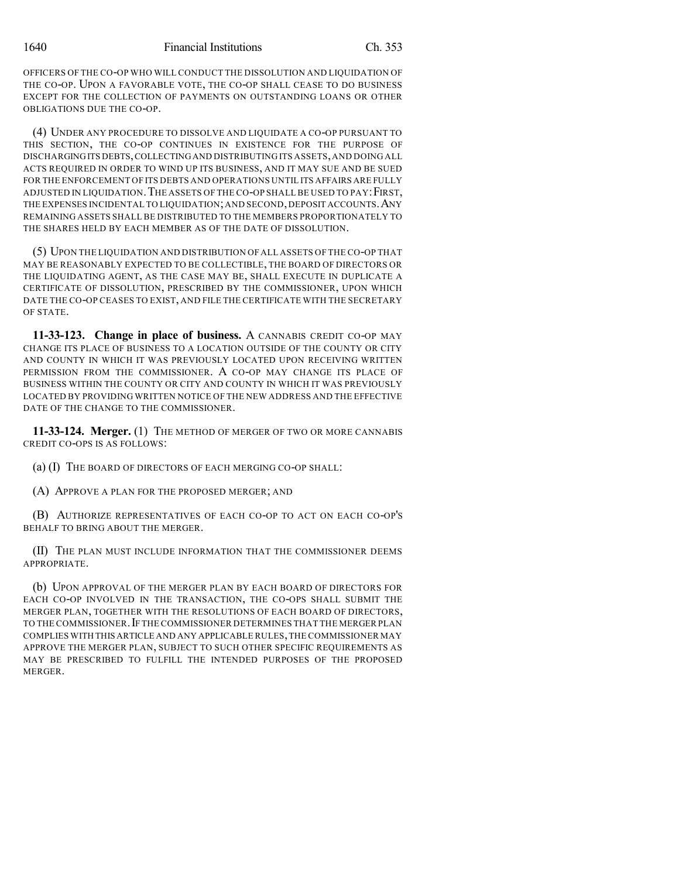OFFICERS OF THE CO-OP WHO WILL CONDUCT THE DISSOLUTION AND LIQUIDATION OF THE CO-OP. UPON A FAVORABLE VOTE, THE CO-OP SHALL CEASE TO DO BUSINESS EXCEPT FOR THE COLLECTION OF PAYMENTS ON OUTSTANDING LOANS OR OTHER OBLIGATIONS DUE THE CO-OP.

(4) UNDER ANY PROCEDURE TO DISSOLVE AND LIQUIDATE A CO-OP PURSUANT TO THIS SECTION, THE CO-OP CONTINUES IN EXISTENCE FOR THE PURPOSE OF DISCHARGINGITS DEBTS,COLLECTINGAND DISTRIBUTING ITS ASSETS,AND DOING ALL ACTS REQUIRED IN ORDER TO WIND UP ITS BUSINESS, AND IT MAY SUE AND BE SUED FOR THE ENFORCEMENT OF ITS DEBTS AND OPERATIONS UNTIL ITS AFFAIRS ARE FULLY ADJUSTED IN LIQUIDATION.THE ASSETS OF THE CO-OP SHALL BE USED TO PAY:FIRST, THE EXPENSES INCIDENTAL TO LIQUIDATION;AND SECOND,DEPOSIT ACCOUNTS.ANY REMAINING ASSETS SHALL BE DISTRIBUTED TO THE MEMBERS PROPORTIONATELY TO THE SHARES HELD BY EACH MEMBER AS OF THE DATE OF DISSOLUTION.

(5) UPON THE LIQUIDATION AND DISTRIBUTION OFALL ASSETS OF THE CO-OP THAT MAY BE REASONABLY EXPECTED TO BE COLLECTIBLE, THE BOARD OF DIRECTORS OR THE LIQUIDATING AGENT, AS THE CASE MAY BE, SHALL EXECUTE IN DUPLICATE A CERTIFICATE OF DISSOLUTION, PRESCRIBED BY THE COMMISSIONER, UPON WHICH DATE THE CO-OP CEASES TO EXIST, AND FILE THE CERTIFICATE WITH THE SECRETARY OF STATE.

**11-33-123. Change in place of business.** A CANNABIS CREDIT CO-OP MAY CHANGE ITS PLACE OF BUSINESS TO A LOCATION OUTSIDE OF THE COUNTY OR CITY AND COUNTY IN WHICH IT WAS PREVIOUSLY LOCATED UPON RECEIVING WRITTEN PERMISSION FROM THE COMMISSIONER. A CO-OP MAY CHANGE ITS PLACE OF BUSINESS WITHIN THE COUNTY OR CITY AND COUNTY IN WHICH IT WAS PREVIOUSLY LOCATED BY PROVIDING WRITTEN NOTICE OF THE NEW ADDRESS AND THE EFFECTIVE DATE OF THE CHANGE TO THE COMMISSIONER.

**11-33-124. Merger.** (1) THE METHOD OF MERGER OF TWO OR MORE CANNABIS CREDIT CO-OPS IS AS FOLLOWS:

(a) (I) THE BOARD OF DIRECTORS OF EACH MERGING CO-OP SHALL:

(A) APPROVE A PLAN FOR THE PROPOSED MERGER; AND

(B) AUTHORIZE REPRESENTATIVES OF EACH CO-OP TO ACT ON EACH CO-OP'S BEHALF TO BRING ABOUT THE MERGER.

(II) THE PLAN MUST INCLUDE INFORMATION THAT THE COMMISSIONER DEEMS APPROPRIATE.

(b) UPON APPROVAL OF THE MERGER PLAN BY EACH BOARD OF DIRECTORS FOR EACH CO-OP INVOLVED IN THE TRANSACTION, THE CO-OPS SHALL SUBMIT THE MERGER PLAN, TOGETHER WITH THE RESOLUTIONS OF EACH BOARD OF DIRECTORS, TO THE COMMISSIONER.IF THE COMMISSIONER DETERMINES THAT THE MERGER PLAN COMPLIES WITH THIS ARTICLE AND ANY APPLICABLE RULES,THE COMMISSIONER MAY APPROVE THE MERGER PLAN, SUBJECT TO SUCH OTHER SPECIFIC REQUIREMENTS AS MAY BE PRESCRIBED TO FULFILL THE INTENDED PURPOSES OF THE PROPOSED MERGER.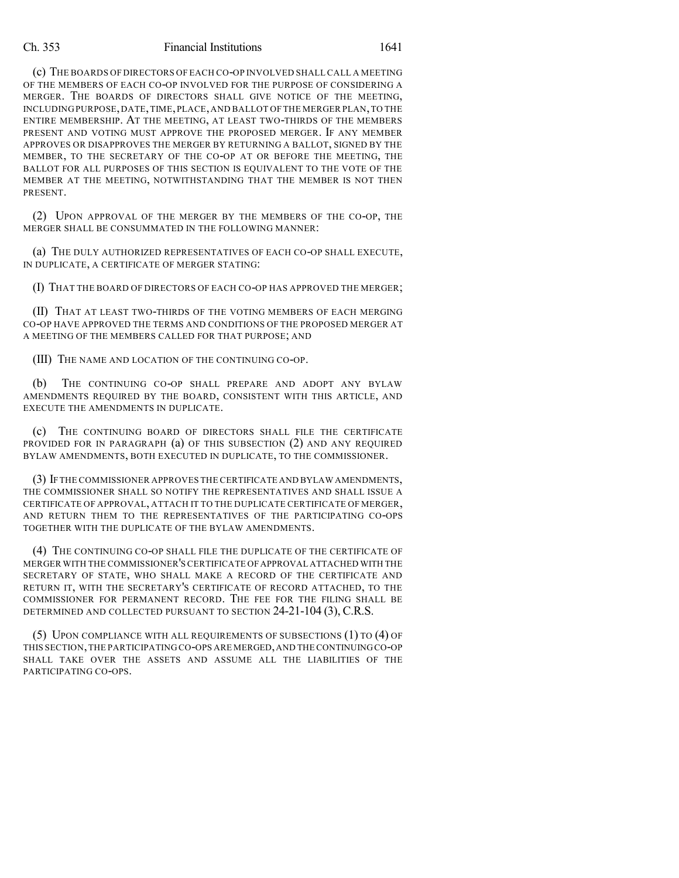(c) THE BOARDS OF DIRECTORS OF EACH CO-OP INVOLVED SHALL CALL A MEETING OF THE MEMBERS OF EACH CO-OP INVOLVED FOR THE PURPOSE OF CONSIDERING A MERGER. THE BOARDS OF DIRECTORS SHALL GIVE NOTICE OF THE MEETING, INCLUDING PURPOSE,DATE,TIME,PLACE,AND BALLOT OF THE MERGER PLAN,TO THE ENTIRE MEMBERSHIP. AT THE MEETING, AT LEAST TWO-THIRDS OF THE MEMBERS PRESENT AND VOTING MUST APPROVE THE PROPOSED MERGER. IF ANY MEMBER APPROVES OR DISAPPROVES THE MERGER BY RETURNING A BALLOT, SIGNED BY THE MEMBER, TO THE SECRETARY OF THE CO-OP AT OR BEFORE THE MEETING, THE BALLOT FOR ALL PURPOSES OF THIS SECTION IS EQUIVALENT TO THE VOTE OF THE MEMBER AT THE MEETING, NOTWITHSTANDING THAT THE MEMBER IS NOT THEN PRESENT.

(2) UPON APPROVAL OF THE MERGER BY THE MEMBERS OF THE CO-OP, THE MERGER SHALL BE CONSUMMATED IN THE FOLLOWING MANNER:

(a) THE DULY AUTHORIZED REPRESENTATIVES OF EACH CO-OP SHALL EXECUTE, IN DUPLICATE, A CERTIFICATE OF MERGER STATING:

(I) THAT THE BOARD OF DIRECTORS OF EACH CO-OP HAS APPROVED THE MERGER;

(II) THAT AT LEAST TWO-THIRDS OF THE VOTING MEMBERS OF EACH MERGING CO-OP HAVE APPROVED THE TERMS AND CONDITIONS OF THE PROPOSED MERGER AT A MEETING OF THE MEMBERS CALLED FOR THAT PURPOSE; AND

(III) THE NAME AND LOCATION OF THE CONTINUING CO-OP.

(b) THE CONTINUING CO-OP SHALL PREPARE AND ADOPT ANY BYLAW AMENDMENTS REQUIRED BY THE BOARD, CONSISTENT WITH THIS ARTICLE, AND EXECUTE THE AMENDMENTS IN DUPLICATE.

(c) THE CONTINUING BOARD OF DIRECTORS SHALL FILE THE CERTIFICATE PROVIDED FOR IN PARAGRAPH (a) OF THIS SUBSECTION (2) AND ANY REQUIRED BYLAW AMENDMENTS, BOTH EXECUTED IN DUPLICATE, TO THE COMMISSIONER.

(3) IF THE COMMISSIONER APPROVES THE CERTIFICATE AND BYLAW AMENDMENTS, THE COMMISSIONER SHALL SO NOTIFY THE REPRESENTATIVES AND SHALL ISSUE A CERTIFICATE OF APPROVAL, ATTACH IT TO THE DUPLICATE CERTIFICATE OF MERGER, AND RETURN THEM TO THE REPRESENTATIVES OF THE PARTICIPATING CO-OPS TOGETHER WITH THE DUPLICATE OF THE BYLAW AMENDMENTS.

(4) THE CONTINUING CO-OP SHALL FILE THE DUPLICATE OF THE CERTIFICATE OF MERGER WITH THE COMMISSIONER'S CERTIFICATE OFAPPROVAL ATTACHED WITH THE SECRETARY OF STATE, WHO SHALL MAKE A RECORD OF THE CERTIFICATE AND RETURN IT, WITH THE SECRETARY'S CERTIFICATE OF RECORD ATTACHED, TO THE COMMISSIONER FOR PERMANENT RECORD. THE FEE FOR THE FILING SHALL BE DETERMINED AND COLLECTED PURSUANT TO SECTION 24-21-104 (3), C.R.S.

(5) UPON COMPLIANCE WITH ALL REQUIREMENTS OF SUBSECTIONS (1) TO (4) OF THIS SECTION,THE PARTICIPATING CO-OPS ARE MERGED,AND THE CONTINUINGCO-OP SHALL TAKE OVER THE ASSETS AND ASSUME ALL THE LIABILITIES OF THE PARTICIPATING CO-OPS.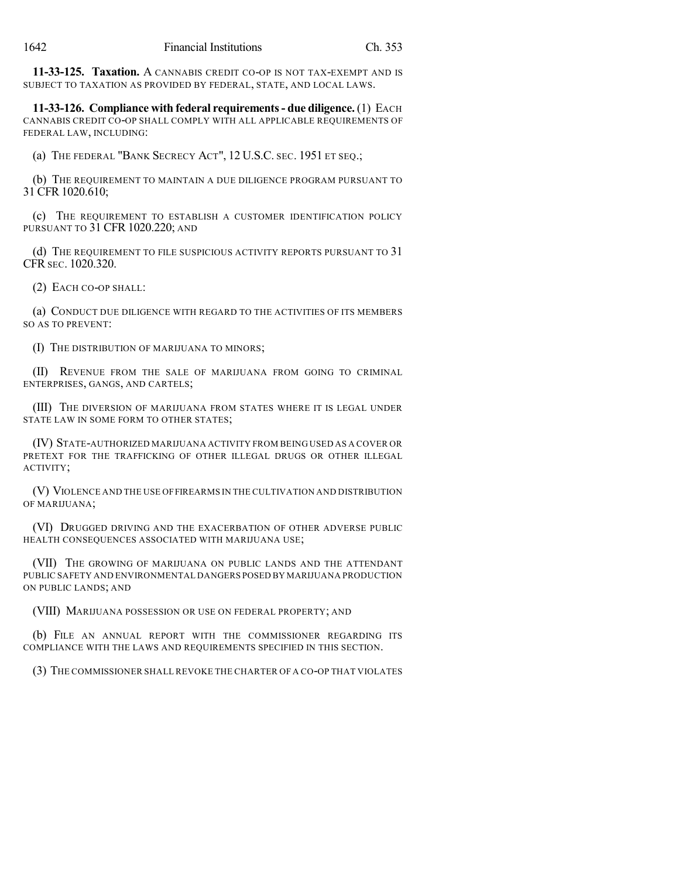**11-33-125. Taxation.** A CANNABIS CREDIT CO-OP IS NOT TAX-EXEMPT AND IS SUBJECT TO TAXATION AS PROVIDED BY FEDERAL, STATE, AND LOCAL LAWS.

**11-33-126. Compliance with federal requirements- due diligence.** (1) EACH CANNABIS CREDIT CO-OP SHALL COMPLY WITH ALL APPLICABLE REQUIREMENTS OF FEDERAL LAW, INCLUDING:

(a) THE FEDERAL "BANK SECRECY ACT", 12 U.S.C. SEC. 1951 ET SEQ.;

(b) THE REQUIREMENT TO MAINTAIN A DUE DILIGENCE PROGRAM PURSUANT TO 31 CFR 1020.610;

(c) THE REQUIREMENT TO ESTABLISH A CUSTOMER IDENTIFICATION POLICY PURSUANT TO 31 CFR 1020.220; AND

(d) THE REQUIREMENT TO FILE SUSPICIOUS ACTIVITY REPORTS PURSUANT TO 31 CFR SEC. 1020.320.

(2) EACH CO-OP SHALL:

(a) CONDUCT DUE DILIGENCE WITH REGARD TO THE ACTIVITIES OF ITS MEMBERS SO AS TO PREVENT:

(I) THE DISTRIBUTION OF MARIJUANA TO MINORS;

(II) REVENUE FROM THE SALE OF MARIJUANA FROM GOING TO CRIMINAL ENTERPRISES, GANGS, AND CARTELS;

(III) THE DIVERSION OF MARIJUANA FROM STATES WHERE IT IS LEGAL UNDER STATE LAW IN SOME FORM TO OTHER STATES;

(IV) STATE-AUTHORIZED MARIJUANA ACTIVITY FROM BEING USED AS A COVER OR PRETEXT FOR THE TRAFFICKING OF OTHER ILLEGAL DRUGS OR OTHER ILLEGAL ACTIVITY;

(V) VIOLENCE AND THE USE OFFIREARMS IN THE CULTIVATION AND DISTRIBUTION OF MARIJUANA;

(VI) DRUGGED DRIVING AND THE EXACERBATION OF OTHER ADVERSE PUBLIC HEALTH CONSEQUENCES ASSOCIATED WITH MARIJUANA USE;

(VII) THE GROWING OF MARIJUANA ON PUBLIC LANDS AND THE ATTENDANT PUBLIC SAFETY AND ENVIRONMENTAL DANGERS POSED BY MARIJUANA PRODUCTION ON PUBLIC LANDS; AND

(VIII) MARIJUANA POSSESSION OR USE ON FEDERAL PROPERTY; AND

(b) FILE AN ANNUAL REPORT WITH THE COMMISSIONER REGARDING ITS COMPLIANCE WITH THE LAWS AND REQUIREMENTS SPECIFIED IN THIS SECTION.

(3) THE COMMISSIONER SHALL REVOKE THE CHARTER OF A CO-OP THAT VIOLATES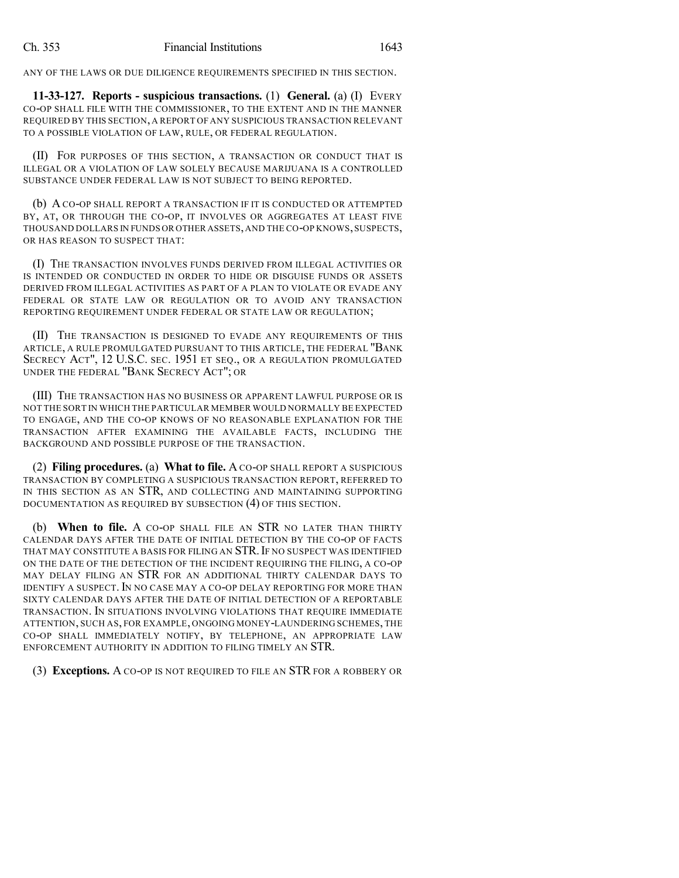ANY OF THE LAWS OR DUE DILIGENCE REQUIREMENTS SPECIFIED IN THIS SECTION.

**11-33-127. Reports - suspicious transactions.** (1) **General.** (a) (I) EVERY CO-OP SHALL FILE WITH THE COMMISSIONER, TO THE EXTENT AND IN THE MANNER REQUIRED BY THIS SECTION, A REPORT OF ANY SUSPICIOUS TRANSACTION RELEVANT TO A POSSIBLE VIOLATION OF LAW, RULE, OR FEDERAL REGULATION.

(II) FOR PURPOSES OF THIS SECTION, A TRANSACTION OR CONDUCT THAT IS ILLEGAL OR A VIOLATION OF LAW SOLELY BECAUSE MARIJUANA IS A CONTROLLED SUBSTANCE UNDER FEDERAL LAW IS NOT SUBJECT TO BEING REPORTED.

(b) A CO-OP SHALL REPORT A TRANSACTION IF IT IS CONDUCTED OR ATTEMPTED BY, AT, OR THROUGH THE CO-OP, IT INVOLVES OR AGGREGATES AT LEAST FIVE THOUSAND DOLLARS IN FUNDS OR OTHER ASSETS,AND THE CO-OP KNOWS,SUSPECTS, OR HAS REASON TO SUSPECT THAT:

(I) THE TRANSACTION INVOLVES FUNDS DERIVED FROM ILLEGAL ACTIVITIES OR IS INTENDED OR CONDUCTED IN ORDER TO HIDE OR DISGUISE FUNDS OR ASSETS DERIVED FROM ILLEGAL ACTIVITIES AS PART OF A PLAN TO VIOLATE OR EVADE ANY FEDERAL OR STATE LAW OR REGULATION OR TO AVOID ANY TRANSACTION REPORTING REQUIREMENT UNDER FEDERAL OR STATE LAW OR REGULATION;

(II) THE TRANSACTION IS DESIGNED TO EVADE ANY REQUIREMENTS OF THIS ARTICLE, A RULE PROMULGATED PURSUANT TO THIS ARTICLE, THE FEDERAL "BANK SECRECY ACT", 12 U.S.C. SEC. 1951 ET SEQ., OR A REGULATION PROMULGATED UNDER THE FEDERAL "BANK SECRECY ACT"; OR

(III) THE TRANSACTION HAS NO BUSINESS OR APPARENT LAWFUL PURPOSE OR IS NOT THE SORT IN WHICH THE PARTICULAR MEMBER WOULD NORMALLY BE EXPECTED TO ENGAGE, AND THE CO-OP KNOWS OF NO REASONABLE EXPLANATION FOR THE TRANSACTION AFTER EXAMINING THE AVAILABLE FACTS, INCLUDING THE BACKGROUND AND POSSIBLE PURPOSE OF THE TRANSACTION.

(2) **Filing procedures.** (a) **What to file.** A CO-OP SHALL REPORT A SUSPICIOUS TRANSACTION BY COMPLETING A SUSPICIOUS TRANSACTION REPORT, REFERRED TO IN THIS SECTION AS AN STR, AND COLLECTING AND MAINTAINING SUPPORTING DOCUMENTATION AS REQUIRED BY SUBSECTION (4) OF THIS SECTION.

(b) **When to file.** A CO-OP SHALL FILE AN STR NO LATER THAN THIRTY CALENDAR DAYS AFTER THE DATE OF INITIAL DETECTION BY THE CO-OP OF FACTS THAT MAY CONSTITUTE A BASIS FOR FILING AN STR. IF NO SUSPECT WAS IDENTIFIED ON THE DATE OF THE DETECTION OF THE INCIDENT REQUIRING THE FILING, A CO-OP MAY DELAY FILING AN STR FOR AN ADDITIONAL THIRTY CALENDAR DAYS TO IDENTIFY A SUSPECT. IN NO CASE MAY A CO-OP DELAY REPORTING FOR MORE THAN SIXTY CALENDAR DAYS AFTER THE DATE OF INITIAL DETECTION OF A REPORTABLE TRANSACTION. IN SITUATIONS INVOLVING VIOLATIONS THAT REQUIRE IMMEDIATE ATTENTION, SUCH AS, FOR EXAMPLE, ONGOING MONEY-LAUNDERING SCHEMES, THE CO-OP SHALL IMMEDIATELY NOTIFY, BY TELEPHONE, AN APPROPRIATE LAW ENFORCEMENT AUTHORITY IN ADDITION TO FILING TIMELY AN STR.

(3) **Exceptions.** A CO-OP IS NOT REQUIRED TO FILE AN STR FOR A ROBBERY OR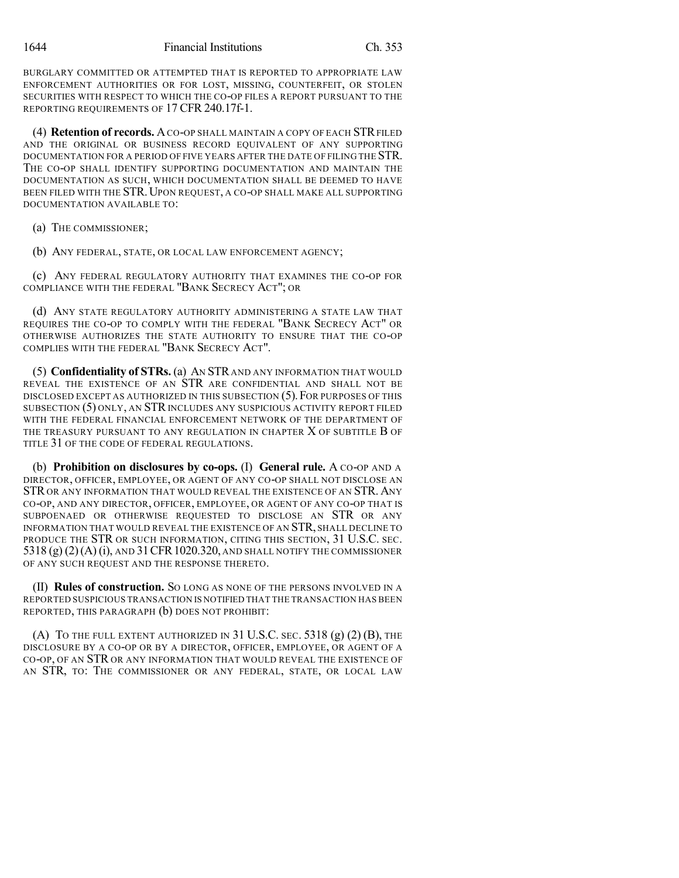BURGLARY COMMITTED OR ATTEMPTED THAT IS REPORTED TO APPROPRIATE LAW ENFORCEMENT AUTHORITIES OR FOR LOST, MISSING, COUNTERFEIT, OR STOLEN SECURITIES WITH RESPECT TO WHICH THE CO-OP FILES A REPORT PURSUANT TO THE REPORTING REQUIREMENTS OF 17 CFR 240.17f-1.

(4) **Retention of records.** ACO-OP SHALL MAINTAIN A COPY OF EACH STRFILED AND THE ORIGINAL OR BUSINESS RECORD EQUIVALENT OF ANY SUPPORTING DOCUMENTATION FOR A PERIOD OF FIVE YEARS AFTER THE DATE OF FILING THE STR. THE CO-OP SHALL IDENTIFY SUPPORTING DOCUMENTATION AND MAINTAIN THE DOCUMENTATION AS SUCH, WHICH DOCUMENTATION SHALL BE DEEMED TO HAVE BEEN FILED WITH THE STR.UPON REQUEST, A CO-OP SHALL MAKE ALL SUPPORTING DOCUMENTATION AVAILABLE TO:

(a) THE COMMISSIONER;

(b) ANY FEDERAL, STATE, OR LOCAL LAW ENFORCEMENT AGENCY;

(c) ANY FEDERAL REGULATORY AUTHORITY THAT EXAMINES THE CO-OP FOR COMPLIANCE WITH THE FEDERAL "BANK SECRECY ACT"; OR

(d) ANY STATE REGULATORY AUTHORITY ADMINISTERING A STATE LAW THAT REQUIRES THE CO-OP TO COMPLY WITH THE FEDERAL "BANK SECRECY ACT" OR OTHERWISE AUTHORIZES THE STATE AUTHORITY TO ENSURE THAT THE CO-OP COMPLIES WITH THE FEDERAL "BANK SECRECY ACT".

(5) **Confidentiality of STRs.** (a) AN STR AND ANY INFORMATION THAT WOULD REVEAL THE EXISTENCE OF AN STR ARE CONFIDENTIAL AND SHALL NOT BE DISCLOSED EXCEPT AS AUTHORIZED IN THIS SUBSECTION (5).FOR PURPOSES OF THIS SUBSECTION (5) ONLY, AN STR INCLUDES ANY SUSPICIOUS ACTIVITY REPORT FILED WITH THE FEDERAL FINANCIAL ENFORCEMENT NETWORK OF THE DEPARTMENT OF THE TREASURY PURSUANT TO ANY REGULATION IN CHAPTER  $X$  of subtitle  $B$  of TITLE 31 OF THE CODE OF FEDERAL REGULATIONS.

(b) **Prohibition on disclosures by co-ops.** (I) **General rule.** A CO-OP AND A DIRECTOR, OFFICER, EMPLOYEE, OR AGENT OF ANY CO-OP SHALL NOT DISCLOSE AN STR OR ANY INFORMATION THAT WOULD REVEAL THE EXISTENCE OF AN STR. ANY CO-OP, AND ANY DIRECTOR, OFFICER, EMPLOYEE, OR AGENT OF ANY CO-OP THAT IS SUBPOENAED OR OTHERWISE REQUESTED TO DISCLOSE AN STR OR ANY INFORMATION THAT WOULD REVEAL THE EXISTENCE OF AN STR, SHALL DECLINE TO PRODUCE THE STR OR SUCH INFORMATION, CITING THIS SECTION, 31 U.S.C. SEC. 5318 (g) (2)(A) (i), AND 31CFR1020.320, AND SHALL NOTIFY THE COMMISSIONER OF ANY SUCH REQUEST AND THE RESPONSE THERETO.

(II) **Rules of construction.** SO LONG AS NONE OF THE PERSONS INVOLVED IN A REPORTED SUSPICIOUS TRANSACTION IS NOTIFIED THAT THE TRANSACTION HAS BEEN REPORTED, THIS PARAGRAPH (b) DOES NOT PROHIBIT:

(A) TO THE FULL EXTENT AUTHORIZED IN 31 U.S.C. SEC.  $5318$  (g) (2) (B), THE DISCLOSURE BY A CO-OP OR BY A DIRECTOR, OFFICER, EMPLOYEE, OR AGENT OF A CO-OP, OF AN STR OR ANY INFORMATION THAT WOULD REVEAL THE EXISTENCE OF AN STR, TO: THE COMMISSIONER OR ANY FEDERAL, STATE, OR LOCAL LAW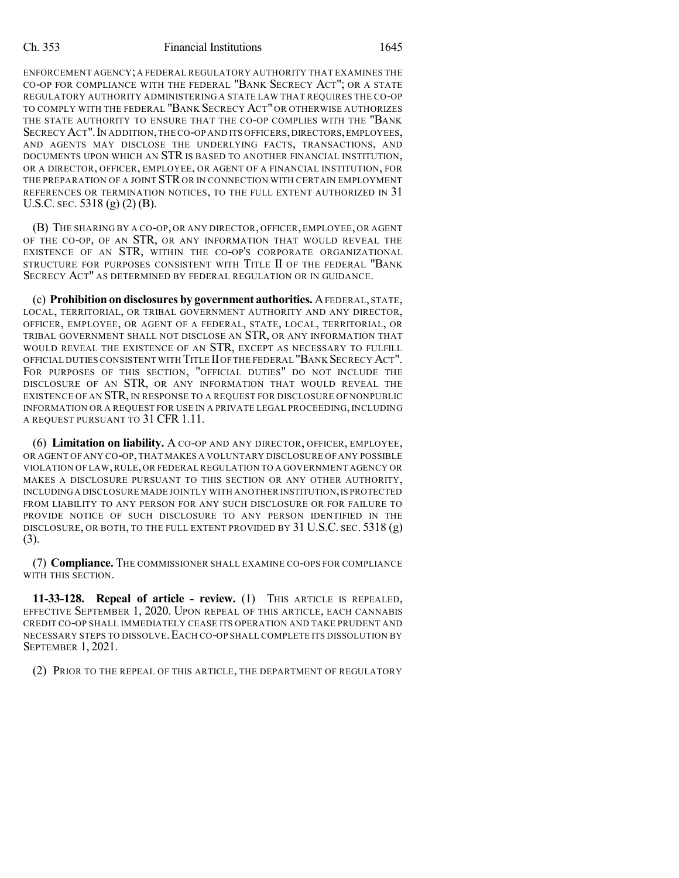ENFORCEMENT AGENCY;A FEDERAL REGULATORY AUTHORITY THAT EXAMINES THE CO-OP FOR COMPLIANCE WITH THE FEDERAL "BANK SECRECY ACT"; OR A STATE REGULATORY AUTHORITY ADMINISTERING A STATE LAW THAT REQUIRES THE CO-OP TO COMPLY WITH THE FEDERAL "BANK SECRECY ACT" OR OTHERWISE AUTHORIZES THE STATE AUTHORITY TO ENSURE THAT THE CO-OP COMPLIES WITH THE "BANK SECRECY ACT". IN ADDITION, THE CO-OP AND ITS OFFICERS, DIRECTORS, EMPLOYEES, AND AGENTS MAY DISCLOSE THE UNDERLYING FACTS, TRANSACTIONS, AND DOCUMENTS UPON WHICH AN STR IS BASED TO ANOTHER FINANCIAL INSTITUTION, OR A DIRECTOR, OFFICER, EMPLOYEE, OR AGENT OF A FINANCIAL INSTITUTION, FOR THE PREPARATION OF A JOINT STR OR IN CONNECTION WITH CERTAIN EMPLOYMENT REFERENCES OR TERMINATION NOTICES, TO THE FULL EXTENT AUTHORIZED IN 31 U.S.C. SEC. 5318 (g) (2) (B).

(B) THE SHARING BY A CO-OP, OR ANY DIRECTOR, OFFICER, EMPLOYEE, OR AGENT OF THE CO-OP, OF AN STR, OR ANY INFORMATION THAT WOULD REVEAL THE EXISTENCE OF AN STR, WITHIN THE CO-OP'S CORPORATE ORGANIZATIONAL STRUCTURE FOR PURPOSES CONSISTENT WITH TITLE II OF THE FEDERAL "BANK SECRECY ACT" AS DETERMINED BY FEDERAL REGULATION OR IN GUIDANCE.

(c) **Prohibition on disclosures by government authorities.** AFEDERAL, STATE, LOCAL, TERRITORIAL, OR TRIBAL GOVERNMENT AUTHORITY AND ANY DIRECTOR, OFFICER, EMPLOYEE, OR AGENT OF A FEDERAL, STATE, LOCAL, TERRITORIAL, OR TRIBAL GOVERNMENT SHALL NOT DISCLOSE AN STR, OR ANY INFORMATION THAT WOULD REVEAL THE EXISTENCE OF AN STR, EXCEPT AS NECESSARY TO FULFILL OFFICIAL DUTIES CONSISTENT WITH TITLE IIOFTHE FEDERAL "BANK SECRECY ACT". FOR PURPOSES OF THIS SECTION, "OFFICIAL DUTIES" DO NOT INCLUDE THE DISCLOSURE OF AN STR, OR ANY INFORMATION THAT WOULD REVEAL THE EXISTENCE OF AN STR, IN RESPONSE TO A REQUEST FOR DISCLOSURE OF NONPUBLIC INFORMATION OR A REQUEST FOR USE IN A PRIVATE LEGAL PROCEEDING, INCLUDING A REQUEST PURSUANT TO 31 CFR 1.11.

(6) **Limitation on liability.** A CO-OP AND ANY DIRECTOR, OFFICER, EMPLOYEE, OR AGENT OF ANY CO-OP,THAT MAKES A VOLUNTARY DISCLOSURE OF ANY POSSIBLE VIOLATION OF LAW,RULE, OR FEDERAL REGULATION TO A GOVERNMENT AGENCY OR MAKES A DISCLOSURE PURSUANT TO THIS SECTION OR ANY OTHER AUTHORITY, INCLUDINGA DISCLOSURE MADE JOINTLY WITH ANOTHER INSTITUTION,IS PROTECTED FROM LIABILITY TO ANY PERSON FOR ANY SUCH DISCLOSURE OR FOR FAILURE TO PROVIDE NOTICE OF SUCH DISCLOSURE TO ANY PERSON IDENTIFIED IN THE DISCLOSURE, OR BOTH, TO THE FULL EXTENT PROVIDED BY 31 U.S.C. SEC. 5318 (g) (3).

(7) **Compliance.** THE COMMISSIONER SHALL EXAMINE CO-OPS FOR COMPLIANCE WITH THIS SECTION.

**11-33-128. Repeal of article - review.** (1) THIS ARTICLE IS REPEALED, EFFECTIVE SEPTEMBER 1, 2020. UPON REPEAL OF THIS ARTICLE, EACH CANNABIS CREDIT CO-OP SHALL IMMEDIATELY CEASE ITS OPERATION AND TAKE PRUDENT AND NECESSARY STEPS TO DISSOLVE.EACH CO-OP SHALL COMPLETE ITS DISSOLUTION BY SEPTEMBER 1, 2021.

(2) PRIOR TO THE REPEAL OF THIS ARTICLE, THE DEPARTMENT OF REGULATORY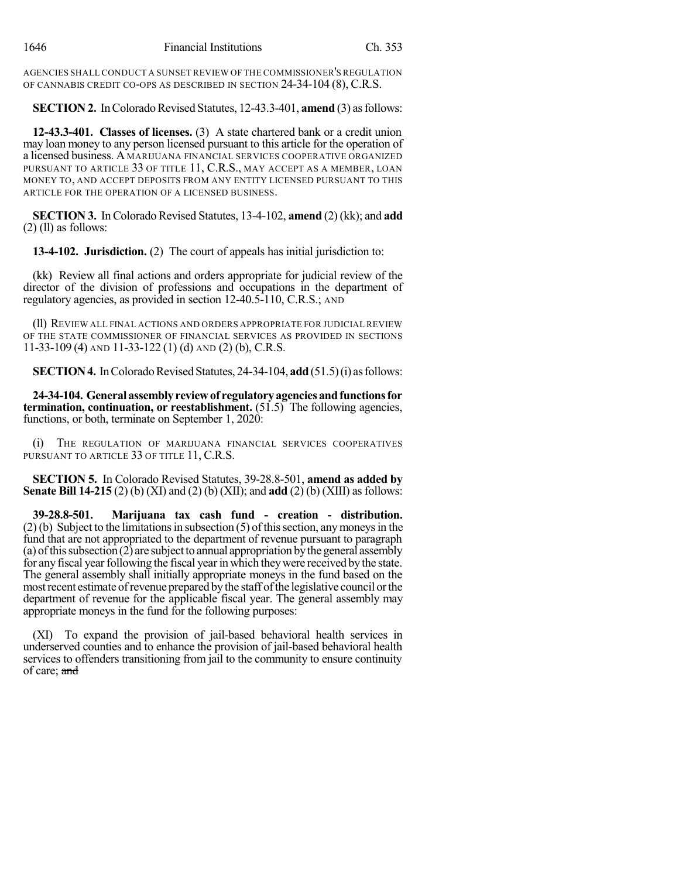AGENCIES SHALL CONDUCT A SUNSET REVIEW OF THE COMMISSIONER'S REGULATION OF CANNABIS CREDIT CO-OPS AS DESCRIBED IN SECTION 24-34-104 (8), C.R.S.

### **SECTION 2.** In Colorado Revised Statutes, 12-43.3-401, **amend** (3) as follows:

**12-43.3-401. Classes of licenses.** (3) A state chartered bank or a credit union may loan money to any person licensed pursuant to this article for the operation of a licensed business. A MARIJUANA FINANCIAL SERVICES COOPERATIVE ORGANIZED PURSUANT TO ARTICLE 33 OF TITLE 11, C.R.S., MAY ACCEPT AS A MEMBER, LOAN MONEY TO, AND ACCEPT DEPOSITS FROM ANY ENTITY LICENSED PURSUANT TO THIS ARTICLE FOR THE OPERATION OF A LICENSED BUSINESS.

**SECTION 3.** In Colorado Revised Statutes, 13-4-102, **amend** (2) (kk); and **add**  $(2)$  (ll) as follows:

**13-4-102. Jurisdiction.** (2) The court of appeals has initial jurisdiction to:

(kk) Review all final actions and orders appropriate for judicial review of the director of the division of professions and occupations in the department of regulatory agencies, as provided in section 12-40.5-110, C.R.S.; AND

(ll) REVIEW ALL FINAL ACTIONS AND ORDERS APPROPRIATE FOR JUDICIAL REVIEW OF THE STATE COMMISSIONER OF FINANCIAL SERVICES AS PROVIDED IN SECTIONS 11-33-109 (4) AND 11-33-122 (1) (d) AND (2) (b), C.R.S.

**SECTION 4.** In Colorado Revised Statutes, 24-34-104, add (51.5)(i) as follows:

**24-34-104. General assemblyreviewof regulatoryagenciesandfunctionsfor termination, continuation, or reestablishment.** (51.5) The following agencies, functions, or both, terminate on September 1, 2020:

(i) THE REGULATION OF MARIJUANA FINANCIAL SERVICES COOPERATIVES PURSUANT TO ARTICLE 33 OF TITLE 11, C.R.S.

**SECTION 5.** In Colorado Revised Statutes, 39-28.8-501, **amend as added by Senate Bill 14-215** (2) (b) (XI) and (2) (b) (XII); and **add** (2) (b) (XIII) asfollows:

**39-28.8-501. Marijuana tax cash fund - creation - distribution.**  $(2)$  (b) Subject to the limitations in subsection (5) of this section, any moneys in the fund that are not appropriated to the department of revenue pursuant to paragraph (a) of this subsection  $(2)$  are subject to annual appropriation by the general assembly for any fiscal year following the fiscal year in which they were received by the state. The general assembly shall initially appropriate moneys in the fund based on the most recent estimate of revenue prepared by the staff of the legislative council or the department of revenue for the applicable fiscal year. The general assembly may appropriate moneys in the fund for the following purposes:

(XI) To expand the provision of jail-based behavioral health services in underserved counties and to enhance the provision of jail-based behavioral health services to offenders transitioning from jail to the community to ensure continuity of care; and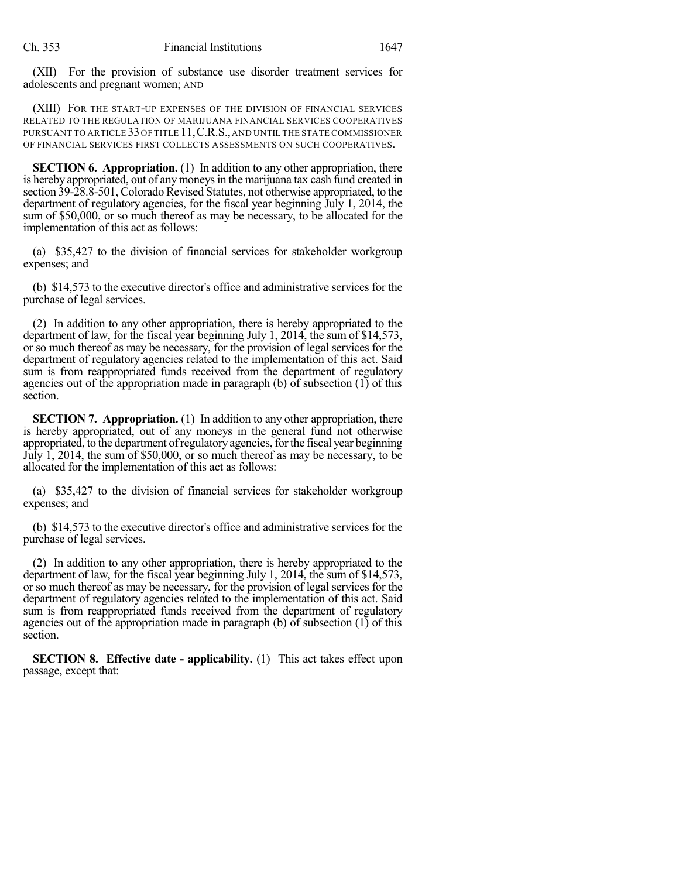(XII) For the provision of substance use disorder treatment services for adolescents and pregnant women; AND

(XIII) FOR THE START-UP EXPENSES OF THE DIVISION OF FINANCIAL SERVICES RELATED TO THE REGULATION OF MARIJUANA FINANCIAL SERVICES COOPERATIVES PURSUANT TO ARTICLE 33OF TITLE 11,C.R.S.,AND UNTIL THE STATE COMMISSIONER OF FINANCIAL SERVICES FIRST COLLECTS ASSESSMENTS ON SUCH COOPERATIVES.

**SECTION 6. Appropriation.** (1) In addition to any other appropriation, there is hereby appropriated, out of any moneys in the marijuana tax cash fund created in section 39-28.8-501, Colorado Revised Statutes, not otherwise appropriated, to the department of regulatory agencies, for the fiscal year beginning July 1, 2014, the sum of \$50,000, or so much thereof as may be necessary, to be allocated for the implementation of this act as follows:

(a) \$35,427 to the division of financial services for stakeholder workgroup expenses; and

(b) \$14,573 to the executive director's office and administrative services for the purchase of legal services.

(2) In addition to any other appropriation, there is hereby appropriated to the department of law, for the fiscal year beginning July 1, 2014, the sum of \$14,573, or so much thereof as may be necessary, for the provision of legal services for the department of regulatory agencies related to the implementation of this act. Said sum is from reappropriated funds received from the department of regulatory agencies out of the appropriation made in paragraph (b) of subsection  $(1)$  of this section.

**SECTION 7. Appropriation.** (1) In addition to any other appropriation, there is hereby appropriated, out of any moneys in the general fund not otherwise appropriated, to the department ofregulatoryagencies,forthe fiscal year beginning July 1, 2014, the sum of \$50,000, or so much thereof as may be necessary, to be allocated for the implementation of this act as follows:

(a) \$35,427 to the division of financial services for stakeholder workgroup expenses; and

(b) \$14,573 to the executive director's office and administrative services for the purchase of legal services.

(2) In addition to any other appropriation, there is hereby appropriated to the department of law, for the fiscal year beginning July 1, 2014, the sum of \$14,573, or so much thereof as may be necessary, for the provision of legal services for the department of regulatory agencies related to the implementation of this act. Said sum is from reappropriated funds received from the department of regulatory agencies out of the appropriation made in paragraph (b) of subsection (1) of this section.

**SECTION 8. Effective date - applicability.** (1) This act takes effect upon passage, except that: